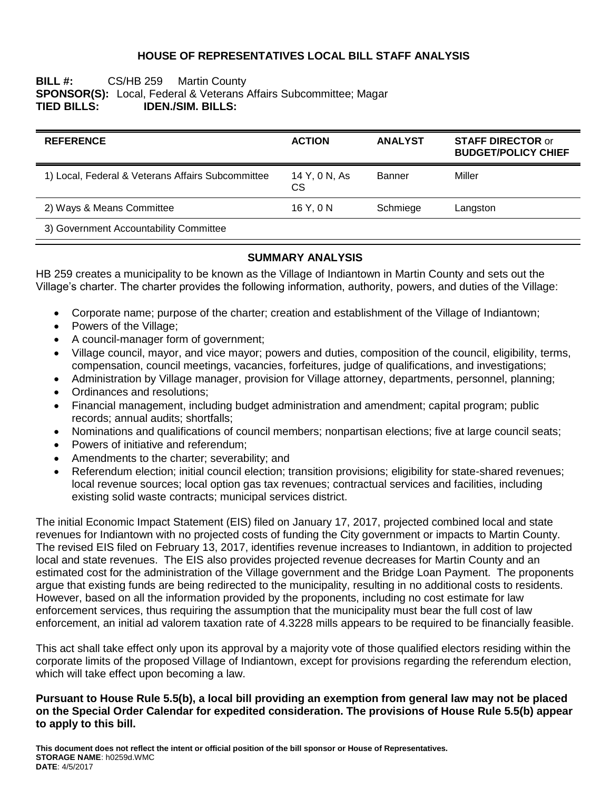## **HOUSE OF REPRESENTATIVES LOCAL BILL STAFF ANALYSIS**

## **BILL #:** CS/HB 259 Martin County **SPONSOR(S):** Local, Federal & Veterans Affairs Subcommittee; Magar **TIED BILLS: IDEN./SIM. BILLS:**

| <b>REFERENCE</b>                                  | <b>ACTION</b>        | <b>ANALYST</b> | <b>STAFF DIRECTOR or</b><br><b>BUDGET/POLICY CHIEF</b> |
|---------------------------------------------------|----------------------|----------------|--------------------------------------------------------|
| 1) Local, Federal & Veterans Affairs Subcommittee | 14 Y, 0 N, As<br>CS. | Banner         | Miller                                                 |
| 2) Ways & Means Committee                         | 16Y.0N               | Schmiege       | Langston                                               |
| 3) Government Accountability Committee            |                      |                |                                                        |

## **SUMMARY ANALYSIS**

HB 259 creates a municipality to be known as the Village of Indiantown in Martin County and sets out the Village's charter. The charter provides the following information, authority, powers, and duties of the Village:

- Corporate name; purpose of the charter; creation and establishment of the Village of Indiantown;
- Powers of the Village;
- A council-manager form of government;
- Village council, mayor, and vice mayor; powers and duties, composition of the council, eligibility, terms, compensation, council meetings, vacancies, forfeitures, judge of qualifications, and investigations;
- Administration by Village manager, provision for Village attorney, departments, personnel, planning;
- Ordinances and resolutions;
- Financial management, including budget administration and amendment; capital program; public records; annual audits; shortfalls;
- Nominations and qualifications of council members; nonpartisan elections; five at large council seats;
- Powers of initiative and referendum;
- Amendments to the charter; severability; and
- Referendum election; initial council election; transition provisions; eligibility for state-shared revenues; local revenue sources; local option gas tax revenues; contractual services and facilities, including existing solid waste contracts; municipal services district.

The initial Economic Impact Statement (EIS) filed on January 17, 2017, projected combined local and state revenues for Indiantown with no projected costs of funding the City government or impacts to Martin County. The revised EIS filed on February 13, 2017, identifies revenue increases to Indiantown, in addition to projected local and state revenues. The EIS also provides projected revenue decreases for Martin County and an estimated cost for the administration of the Village government and the Bridge Loan Payment. The proponents argue that existing funds are being redirected to the municipality, resulting in no additional costs to residents. However, based on all the information provided by the proponents, including no cost estimate for law enforcement services, thus requiring the assumption that the municipality must bear the full cost of law enforcement, an initial ad valorem taxation rate of 4.3228 mills appears to be required to be financially feasible.

This act shall take effect only upon its approval by a majority vote of those qualified electors residing within the corporate limits of the proposed Village of Indiantown, except for provisions regarding the referendum election, which will take effect upon becoming a law.

### **Pursuant to House Rule 5.5(b), a local bill providing an exemption from general law may not be placed on the Special Order Calendar for expedited consideration. The provisions of House Rule 5.5(b) appear to apply to this bill.**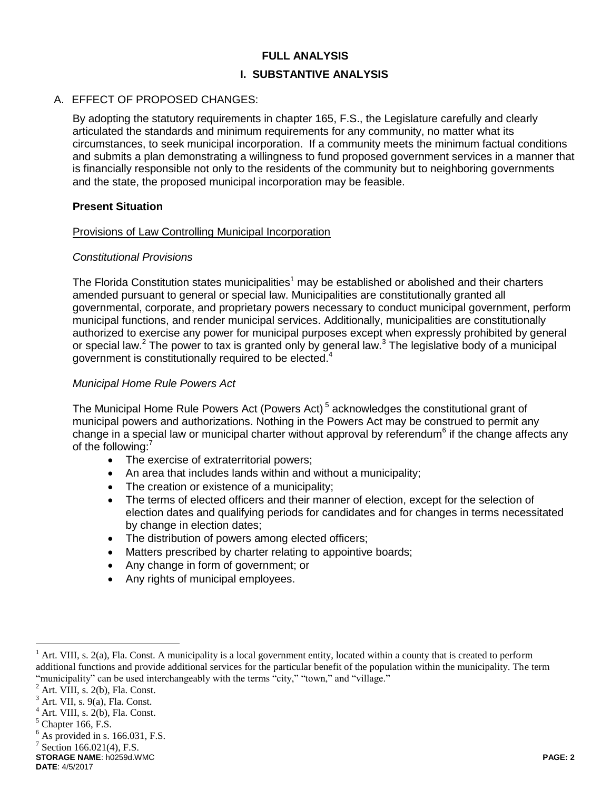## **FULL ANALYSIS**

## **I. SUBSTANTIVE ANALYSIS**

## A. EFFECT OF PROPOSED CHANGES:

By adopting the statutory requirements in chapter 165, F.S., the Legislature carefully and clearly articulated the standards and minimum requirements for any community, no matter what its circumstances, to seek municipal incorporation. If a community meets the minimum factual conditions and submits a plan demonstrating a willingness to fund proposed government services in a manner that is financially responsible not only to the residents of the community but to neighboring governments and the state, the proposed municipal incorporation may be feasible.

### **Present Situation**

### Provisions of Law Controlling Municipal Incorporation

## *Constitutional Provisions*

The Florida Constitution states municipalities<sup>1</sup> may be established or abolished and their charters amended pursuant to general or special law. Municipalities are constitutionally granted all governmental, corporate, and proprietary powers necessary to conduct municipal government, perform municipal functions, and render municipal services. Additionally, municipalities are constitutionally authorized to exercise any power for municipal purposes except when expressly prohibited by general or special law.<sup>2</sup> The power to tax is granted only by general law.<sup>3</sup> The legislative body of a municipal government is constitutionally required to be elected.<sup>4</sup>

## *Municipal Home Rule Powers Act*

The Municipal Home Rule Powers Act (Powers Act)<sup>5</sup> acknowledges the constitutional grant of municipal powers and authorizations. Nothing in the Powers Act may be construed to permit any change in a special law or municipal charter without approval by referendum<sup>6</sup> if the change affects any of the following:<sup>7</sup>

- The exercise of extraterritorial powers;
- An area that includes lands within and without a municipality;
- The creation or existence of a municipality;
- The terms of elected officers and their manner of election, except for the selection of election dates and qualifying periods for candidates and for changes in terms necessitated by change in election dates;
- The distribution of powers among elected officers;
- Matters prescribed by charter relating to appointive boards;
- Any change in form of government; or
- Any rights of municipal employees.

 $<sup>1</sup>$  Art. VIII, s. 2(a), Fla. Const. A municipality is a local government entity, located within a county that is created to perform</sup> additional functions and provide additional services for the particular benefit of the population within the municipality. The term "municipality" can be used interchangeably with the terms "city," "town," and "village."

 $2$  Art. VIII, s. 2(b), Fla. Const.

 $3$  Art. VII, s. 9(a), Fla. Const.

 $<sup>4</sup>$  Art. VIII, s. 2(b), Fla. Const.</sup>

 $<sup>5</sup>$  Chapter 166, F.S.</sup>

 $<sup>6</sup>$  As provided in s. 166.031, F.S.</sup>

 $7$  Section 166.021(4), F.S.

**STORAGE NAME**: h0259d.WMC **PAGE: 2**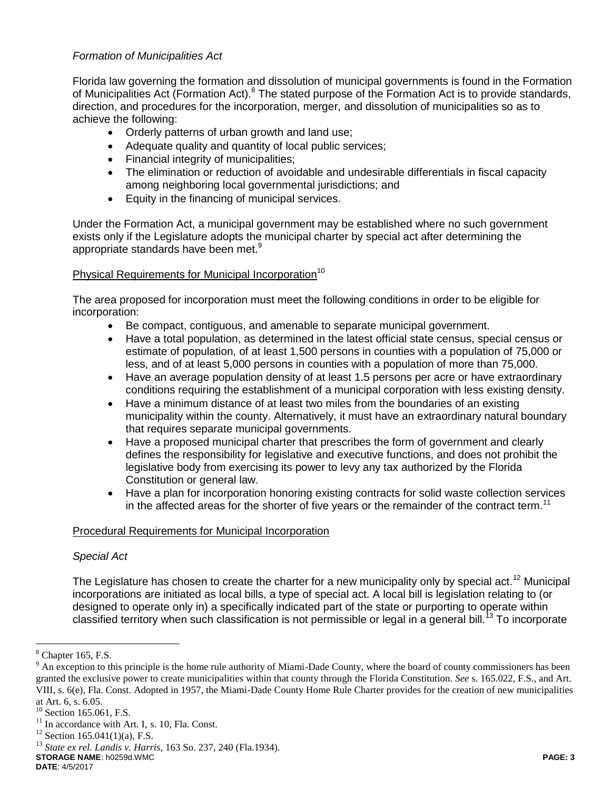# *Formation of Municipalities Act*

Florida law governing the formation and dissolution of municipal governments is found in the Formation of Municipalities Act (Formation Act).<sup>8</sup> The stated purpose of the Formation Act is to provide standards, direction, and procedures for the incorporation, merger, and dissolution of municipalities so as to achieve the following:

- Orderly patterns of urban growth and land use;
- Adequate quality and quantity of local public services;
- Financial integrity of municipalities;
- The elimination or reduction of avoidable and undesirable differentials in fiscal capacity among neighboring local governmental jurisdictions; and
- Equity in the financing of municipal services.

Under the Formation Act, a municipal government may be established where no such government exists only if the Legislature adopts the municipal charter by special act after determining the appropriate standards have been met.<sup>9</sup>

## Physical Requirements for Municipal Incorporation<sup>10</sup>

The area proposed for incorporation must meet the following conditions in order to be eligible for incorporation:

- Be compact, contiguous, and amenable to separate municipal government.
- Have a total population, as determined in the latest official state census, special census or estimate of population, of at least 1,500 persons in counties with a population of 75,000 or less, and of at least 5,000 persons in counties with a population of more than 75,000.
- Have an average population density of at least 1.5 persons per acre or have extraordinary conditions requiring the establishment of a municipal corporation with less existing density.
- Have a minimum distance of at least two miles from the boundaries of an existing municipality within the county. Alternatively, it must have an extraordinary natural boundary that requires separate municipal governments.
- Have a proposed municipal charter that prescribes the form of government and clearly defines the responsibility for legislative and executive functions, and does not prohibit the legislative body from exercising its power to levy any tax authorized by the Florida Constitution or general law.
- Have a plan for incorporation honoring existing contracts for solid waste collection services in the affected areas for the shorter of five years or the remainder of the contract term.<sup>11</sup>

## Procedural Requirements for Municipal Incorporation

## *Special Act*

The Legislature has chosen to create the charter for a new municipality only by special act.<sup>12</sup> Municipal incorporations are initiated as local bills, a type of special act. A local bill is legislation relating to (or designed to operate only in) a specifically indicated part of the state or purporting to operate within classified territory when such classification is not permissible or legal in a general bill.<sup>13</sup> To incorporate

 $\overline{a}$ 

**STORAGE NAME**: h0259d.WMC **PAGE: 3**

 $8$  Chapter 165, F.S.

 $9$  An exception to this principle is the home rule authority of Miami-Dade County, where the board of county commissioners has been granted the exclusive power to create municipalities within that county through the Florida Constitution. *See* s. 165.022, F.S., and Art. VIII, s. 6(e), Fla. Const. Adopted in 1957, the Miami-Dade County Home Rule Charter provides for the creation of new municipalities at Art. 6, s. 6.05.

 $10$  Section 165.061, F.S.

 $11$  In accordance with Art. I, s. 10, Fla. Const.

 $12$  Section 165.041(1)(a), F.S.

<sup>13</sup> *State ex rel. Landis v. Harris*, 163 So. 237, 240 (Fla.1934).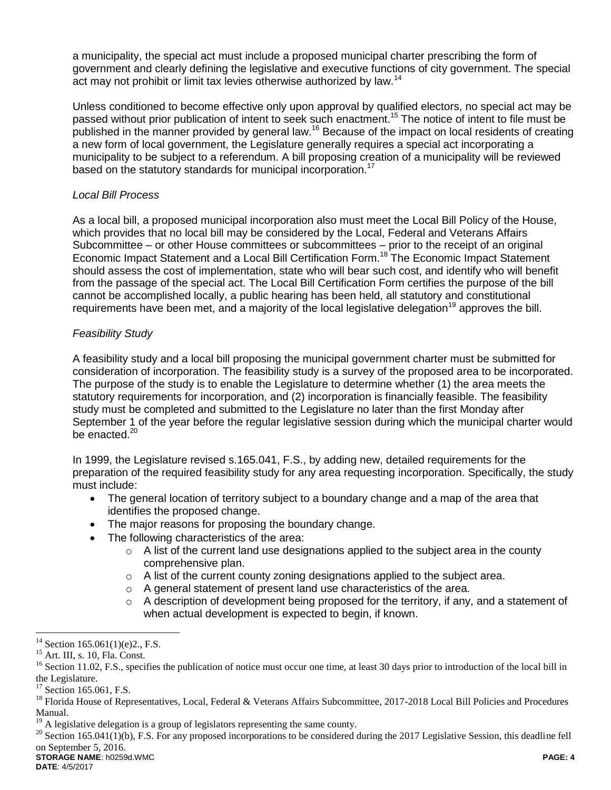a municipality, the special act must include a proposed municipal charter prescribing the form of government and clearly defining the legislative and executive functions of city government. The special act may not prohibit or limit tax levies otherwise authorized by law.<sup>14</sup>

Unless conditioned to become effective only upon approval by qualified electors, no special act may be passed without prior publication of intent to seek such enactment.<sup>15</sup> The notice of intent to file must be published in the manner provided by general law.<sup>16</sup> Because of the impact on local residents of creating a new form of local government, the Legislature generally requires a special act incorporating a municipality to be subject to a referendum. A bill proposing creation of a municipality will be reviewed based on the statutory standards for municipal incorporation.<sup>17</sup>

## *Local Bill Process*

As a local bill, a proposed municipal incorporation also must meet the Local Bill Policy of the House, which provides that no local bill may be considered by the Local, Federal and Veterans Affairs Subcommittee – or other House committees or subcommittees – prior to the receipt of an original Economic Impact Statement and a Local Bill Certification Form.<sup>18</sup> The Economic Impact Statement should assess the cost of implementation, state who will bear such cost, and identify who will benefit from the passage of the special act. The Local Bill Certification Form certifies the purpose of the bill cannot be accomplished locally, a public hearing has been held, all statutory and constitutional requirements have been met, and a majority of the local legislative delegation<sup>19</sup> approves the bill.

# *Feasibility Study*

A feasibility study and a local bill proposing the municipal government charter must be submitted for consideration of incorporation. The feasibility study is a survey of the proposed area to be incorporated. The purpose of the study is to enable the Legislature to determine whether (1) the area meets the statutory requirements for incorporation, and (2) incorporation is financially feasible. The feasibility study must be completed and submitted to the Legislature no later than the first Monday after September 1 of the year before the regular legislative session during which the municipal charter would be enacted.<sup>20</sup>

In 1999, the Legislature revised s.165.041, F.S., by adding new, detailed requirements for the preparation of the required feasibility study for any area requesting incorporation. Specifically, the study must include:

- The general location of territory subject to a boundary change and a map of the area that identifies the proposed change.
- The major reasons for proposing the boundary change.
- The following characteristics of the area:
	- $\circ$  A list of the current land use designations applied to the subject area in the county comprehensive plan.
	- o A list of the current county zoning designations applied to the subject area.
	- o A general statement of present land use characteristics of the area.
	- $\circ$  A description of development being proposed for the territory, if any, and a statement of when actual development is expected to begin, if known.

 $\overline{a}$  $14$  Section 165.061(1)(e)2., F.S.

<sup>15</sup> Art. III, s. 10, Fla. Const.

<sup>&</sup>lt;sup>16</sup> Section 11.02, F.S., specifies the publication of notice must occur one time, at least 30 days prior to introduction of the local bill in the Legislature.

<sup>&</sup>lt;sup>17</sup> Section 165.061, F.S.

<sup>&</sup>lt;sup>18</sup> Florida House of Representatives, Local, Federal & Veterans Affairs Subcommittee, 2017-2018 Local Bill Policies and Procedures Manual.

<sup>&</sup>lt;sup>19</sup> A legislative delegation is a group of legislators representing the same county.

**STORAGE NAME**: h0259d.WMC **PAGE: 4**  $^{20}$  Section 165.041(1)(b), F.S. For any proposed incorporations to be considered during the 2017 Legislative Session, this deadline fell on September 5, 2016.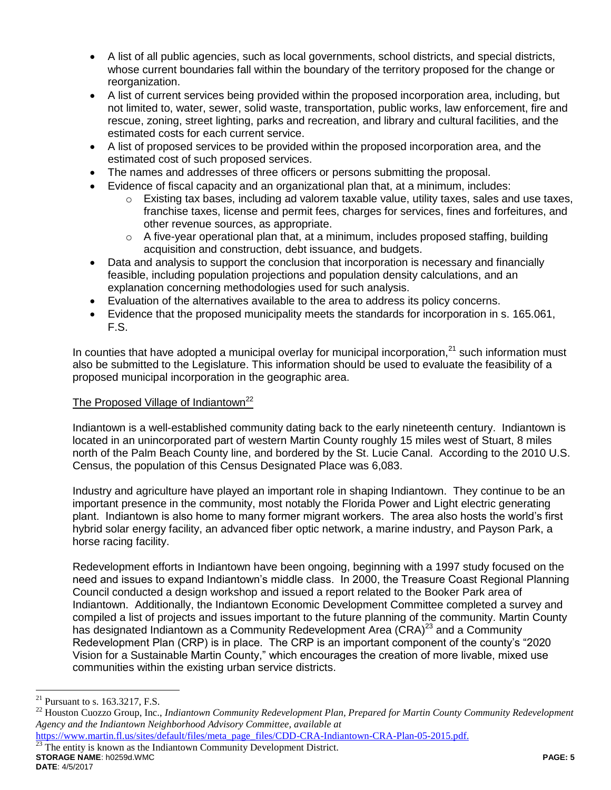- A list of all public agencies, such as local governments, school districts, and special districts, whose current boundaries fall within the boundary of the territory proposed for the change or reorganization.
- A list of current services being provided within the proposed incorporation area, including, but not limited to, water, sewer, solid waste, transportation, public works, law enforcement, fire and rescue, zoning, street lighting, parks and recreation, and library and cultural facilities, and the estimated costs for each current service.
- A list of proposed services to be provided within the proposed incorporation area, and the estimated cost of such proposed services.
- The names and addresses of three officers or persons submitting the proposal.
- Evidence of fiscal capacity and an organizational plan that, at a minimum, includes:
	- $\circ$  Existing tax bases, including ad valorem taxable value, utility taxes, sales and use taxes, franchise taxes, license and permit fees, charges for services, fines and forfeitures, and other revenue sources, as appropriate.
	- $\circ$  A five-year operational plan that, at a minimum, includes proposed staffing, building acquisition and construction, debt issuance, and budgets.
- Data and analysis to support the conclusion that incorporation is necessary and financially feasible, including population projections and population density calculations, and an explanation concerning methodologies used for such analysis.
- Evaluation of the alternatives available to the area to address its policy concerns.
- Evidence that the proposed municipality meets the standards for incorporation in s. 165.061, F.S.

In counties that have adopted a municipal overlay for municipal incorporation, $^{21}$  such information must also be submitted to the Legislature. This information should be used to evaluate the feasibility of a proposed municipal incorporation in the geographic area.

## The Proposed Village of Indiantown<sup>22</sup>

Indiantown is a well-established community dating back to the early nineteenth century. Indiantown is located in an unincorporated part of western Martin County roughly 15 miles west of Stuart, 8 miles north of the Palm Beach County line, and bordered by the St. Lucie Canal. According to the 2010 U.S. Census, the population of this Census Designated Place was 6,083.

Industry and agriculture have played an important role in shaping Indiantown. They continue to be an important presence in the community, most notably the Florida Power and Light electric generating plant. Indiantown is also home to many former migrant workers. The area also hosts the world's first hybrid solar energy facility, an advanced fiber optic network, a marine industry, and Payson Park, a horse racing facility.

Redevelopment efforts in Indiantown have been ongoing, beginning with a 1997 study focused on the need and issues to expand Indiantown's middle class. In 2000, the Treasure Coast Regional Planning Council conducted a design workshop and issued a report related to the Booker Park area of Indiantown. Additionally, the Indiantown Economic Development Committee completed a survey and compiled a list of projects and issues important to the future planning of the community. Martin County has designated Indiantown as a Community Redevelopment Area  $(CRA)^{23}$  and a Community Redevelopment Plan (CRP) is in place. The CRP is an important component of the county's "2020 Vision for a Sustainable Martin County," which encourages the creation of more livable, mixed use communities within the existing urban service districts.

 $\overline{a}$ 

[https://www.martin.fl.us/sites/default/files/meta\\_page\\_files/CDD-CRA-Indiantown-CRA-Plan-05-2015.pdf.](https://www.martin.fl.us/sites/default/files/meta_page_files/CDD-CRA-Indiantown-CRA-Plan-05-2015.pdf)

**STORAGE NAME**: h0259d.WMC **PAGE: 5 DATE**: 4/5/2017 The entity is known as the Indiantown Community Development District.

<sup>&</sup>lt;sup>21</sup> Pursuant to s. 163.3217, F.S.

<sup>&</sup>lt;sup>22</sup> Houston Cuozzo Group, Inc., *Indiantown Community Redevelopment Plan, Prepared for Martin County Community Redevelopment Agency and the Indiantown Neighborhood Advisory Committee, available at*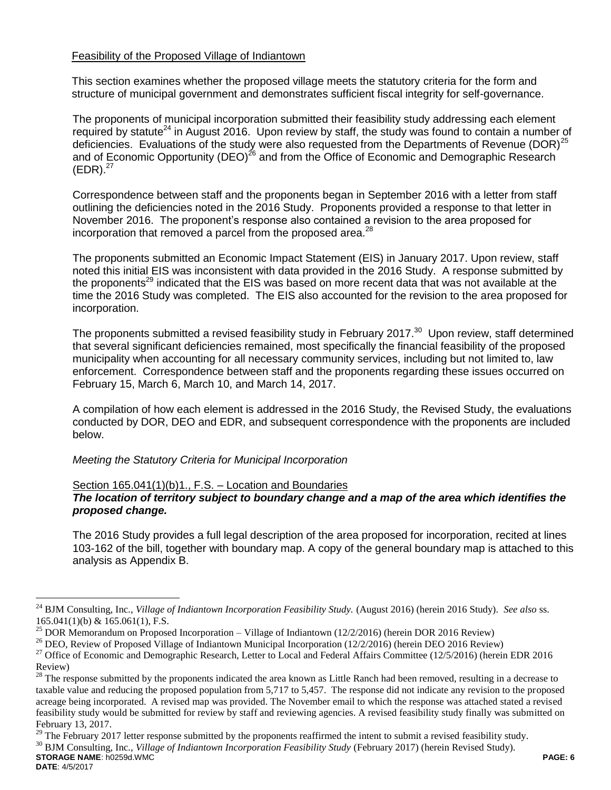## Feasibility of the Proposed Village of Indiantown

This section examines whether the proposed village meets the statutory criteria for the form and structure of municipal government and demonstrates sufficient fiscal integrity for self-governance.

The proponents of municipal incorporation submitted their feasibility study addressing each element required by statute<sup>24</sup> in August 2016. Upon review by staff, the study was found to contain a number of deficiencies. Evaluations of the study were also requested from the Departments of Revenue (DOR)<sup>25</sup> and of Economic Opportunity (DEO)<sup>26</sup> and from the Office of Economic and Demographic Research  $(EDR).^{27}$ 

Correspondence between staff and the proponents began in September 2016 with a letter from staff outlining the deficiencies noted in the 2016 Study. Proponents provided a response to that letter in November 2016. The proponent's response also contained a revision to the area proposed for incorporation that removed a parcel from the proposed area. $^{28}$ 

The proponents submitted an Economic Impact Statement (EIS) in January 2017. Upon review, staff noted this initial EIS was inconsistent with data provided in the 2016 Study. A response submitted by the proponents<sup>29</sup> indicated that the EIS was based on more recent data that was not available at the time the 2016 Study was completed. The EIS also accounted for the revision to the area proposed for incorporation.

The proponents submitted a revised feasibility study in February 2017. $^{30}$  Upon review, staff determined that several significant deficiencies remained, most specifically the financial feasibility of the proposed municipality when accounting for all necessary community services, including but not limited to, law enforcement. Correspondence between staff and the proponents regarding these issues occurred on February 15, March 6, March 10, and March 14, 2017.

A compilation of how each element is addressed in the 2016 Study, the Revised Study, the evaluations conducted by DOR, DEO and EDR, and subsequent correspondence with the proponents are included below.

### *Meeting the Statutory Criteria for Municipal Incorporation*

### Section 165.041(1)(b)1., F.S. – Location and Boundaries

## *The location of territory subject to boundary change and a map of the area which identifies the proposed change.*

The 2016 Study provides a full legal description of the area proposed for incorporation, recited at lines 103-162 of the bill, together with boundary map. A copy of the general boundary map is attached to this analysis as Appendix B.

**STORAGE NAME**: h0259d.WMC **PAGE: 6**  $^{29}$  The February 2017 letter response submitted by the proponents reaffirmed the intent to submit a revised feasibility study. <sup>30</sup> BJM Consulting, Inc., *Village of Indiantown Incorporation Feasibility Study* (February 2017) (herein Revised Study).

<sup>&</sup>lt;sup>24</sup> BJM Consulting, Inc., *Village of Indiantown Incorporation Feasibility Study.* (August 2016) (herein 2016 Study). *See also* ss. 165.041(1)(b) & 165.061(1), F.S.

<sup>&</sup>lt;sup>25</sup> DOR Memorandum on Proposed Incorporation – Village of Indiantown (12/2/2016) (herein DOR 2016 Review)

<sup>&</sup>lt;sup>26</sup> DEO, Review of Proposed Village of Indiantown Municipal Incorporation (12/2/2016) (herein DEO 2016 Review)

<sup>&</sup>lt;sup>27</sup> Office of Economic and Demographic Research, Letter to Local and Federal Affairs Committee (12/5/2016) (herein EDR 2016 Review)

 $28$  The response submitted by the proponents indicated the area known as Little Ranch had been removed, resulting in a decrease to taxable value and reducing the proposed population from 5,717 to 5,457. The response did not indicate any revision to the proposed acreage being incorporated. A revised map was provided. The November email to which the response was attached stated a revised feasibility study would be submitted for review by staff and reviewing agencies. A revised feasibility study finally was submitted on February 13, 2017.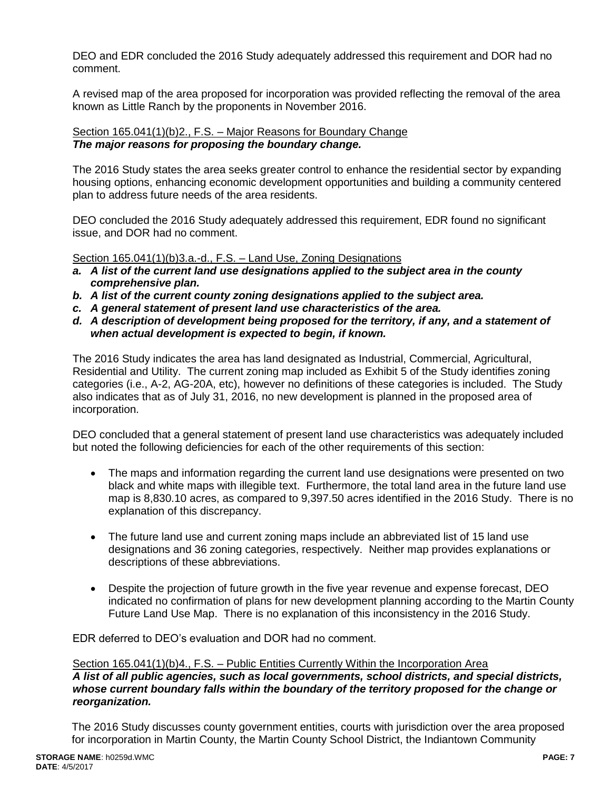DEO and EDR concluded the 2016 Study adequately addressed this requirement and DOR had no comment.

A revised map of the area proposed for incorporation was provided reflecting the removal of the area known as Little Ranch by the proponents in November 2016.

## Section 165.041(1)(b)2., F.S. – Major Reasons for Boundary Change *The major reasons for proposing the boundary change.*

The 2016 Study states the area seeks greater control to enhance the residential sector by expanding housing options, enhancing economic development opportunities and building a community centered plan to address future needs of the area residents.

DEO concluded the 2016 Study adequately addressed this requirement, EDR found no significant issue, and DOR had no comment.

Section 165.041(1)(b)3.a.-d., F.S. - Land Use, Zoning Designations

- *a. A list of the current land use designations applied to the subject area in the county comprehensive plan.*
- *b. A list of the current county zoning designations applied to the subject area.*
- *c. A general statement of present land use characteristics of the area.*
- *d. A description of development being proposed for the territory, if any, and a statement of when actual development is expected to begin, if known.*

The 2016 Study indicates the area has land designated as Industrial, Commercial, Agricultural, Residential and Utility. The current zoning map included as Exhibit 5 of the Study identifies zoning categories (i.e., A-2, AG-20A, etc), however no definitions of these categories is included. The Study also indicates that as of July 31, 2016, no new development is planned in the proposed area of incorporation.

DEO concluded that a general statement of present land use characteristics was adequately included but noted the following deficiencies for each of the other requirements of this section:

- The maps and information regarding the current land use designations were presented on two black and white maps with illegible text. Furthermore, the total land area in the future land use map is 8,830.10 acres, as compared to 9,397.50 acres identified in the 2016 Study. There is no explanation of this discrepancy.
- The future land use and current zoning maps include an abbreviated list of 15 land use designations and 36 zoning categories, respectively. Neither map provides explanations or descriptions of these abbreviations.
- Despite the projection of future growth in the five year revenue and expense forecast, DEO indicated no confirmation of plans for new development planning according to the Martin County Future Land Use Map. There is no explanation of this inconsistency in the 2016 Study.

EDR deferred to DEO's evaluation and DOR had no comment.

#### Section 165.041(1)(b)4., F.S. – Public Entities Currently Within the Incorporation Area *A list of all public agencies, such as local governments, school districts, and special districts, whose current boundary falls within the boundary of the territory proposed for the change or reorganization.*

The 2016 Study discusses county government entities, courts with jurisdiction over the area proposed for incorporation in Martin County, the Martin County School District, the Indiantown Community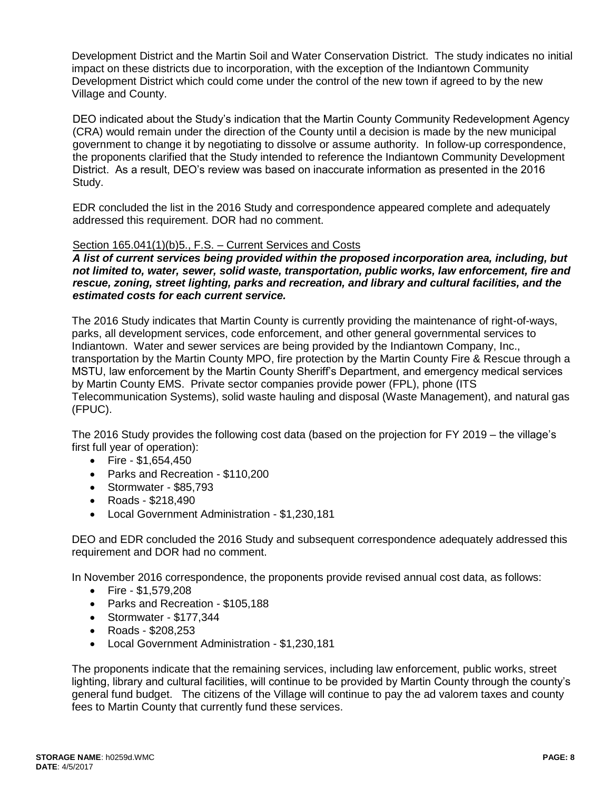Development District and the Martin Soil and Water Conservation District. The study indicates no initial impact on these districts due to incorporation, with the exception of the Indiantown Community Development District which could come under the control of the new town if agreed to by the new Village and County.

DEO indicated about the Study's indication that the Martin County Community Redevelopment Agency (CRA) would remain under the direction of the County until a decision is made by the new municipal government to change it by negotiating to dissolve or assume authority. In follow-up correspondence, the proponents clarified that the Study intended to reference the Indiantown Community Development District. As a result, DEO's review was based on inaccurate information as presented in the 2016 Study.

EDR concluded the list in the 2016 Study and correspondence appeared complete and adequately addressed this requirement. DOR had no comment.

## Section 165.041(1)(b)5., F.S. – Current Services and Costs

*A list of current services being provided within the proposed incorporation area, including, but not limited to, water, sewer, solid waste, transportation, public works, law enforcement, fire and rescue, zoning, street lighting, parks and recreation, and library and cultural facilities, and the estimated costs for each current service.*

The 2016 Study indicates that Martin County is currently providing the maintenance of right-of-ways, parks, all development services, code enforcement, and other general governmental services to Indiantown. Water and sewer services are being provided by the Indiantown Company, Inc., transportation by the Martin County MPO, fire protection by the Martin County Fire & Rescue through a MSTU, law enforcement by the Martin County Sheriff's Department, and emergency medical services by Martin County EMS. Private sector companies provide power (FPL), phone (ITS Telecommunication Systems), solid waste hauling and disposal (Waste Management), and natural gas (FPUC).

The 2016 Study provides the following cost data (based on the projection for FY 2019 – the village's first full year of operation):

- Fire  $$1,654,450$
- Parks and Recreation \$110,200
- Stormwater \$85,793
- Roads \$218,490
- Local Government Administration \$1,230,181

DEO and EDR concluded the 2016 Study and subsequent correspondence adequately addressed this requirement and DOR had no comment.

In November 2016 correspondence, the proponents provide revised annual cost data, as follows:

- $\bullet$  Fire \$1,579,208
- Parks and Recreation \$105,188
- Stormwater \$177,344
- Roads \$208,253
- Local Government Administration \$1,230,181

The proponents indicate that the remaining services, including law enforcement, public works, street lighting, library and cultural facilities, will continue to be provided by Martin County through the county's general fund budget. The citizens of the Village will continue to pay the ad valorem taxes and county fees to Martin County that currently fund these services.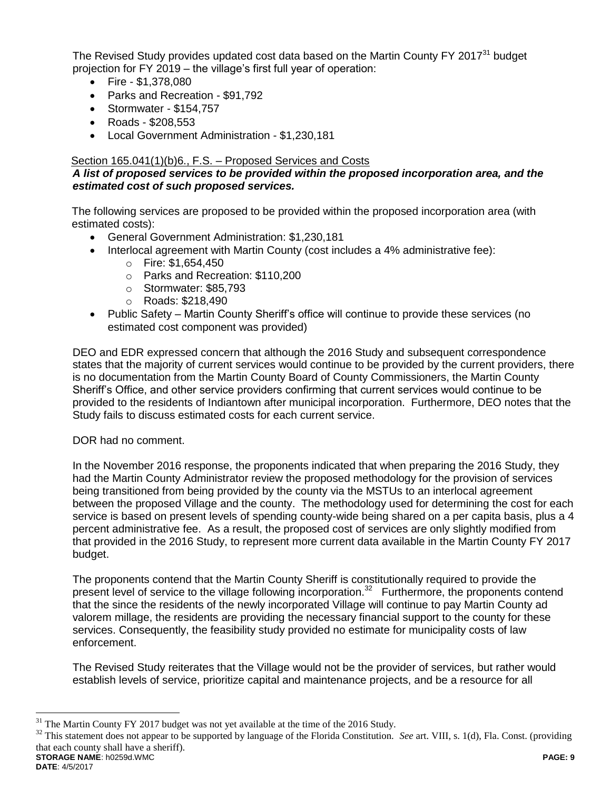The Revised Study provides updated cost data based on the Martin County FY 2017<sup>31</sup> budget projection for FY 2019 – the village's first full year of operation:

- Fire  $-$  \$1,378,080
- Parks and Recreation \$91,792
- $\bullet$  Stormwater \$154,757
- Roads \$208,553
- Local Government Administration \$1,230,181

# Section 165.041(1)(b)6., F.S. – Proposed Services and Costs

## *A list of proposed services to be provided within the proposed incorporation area, and the estimated cost of such proposed services.*

The following services are proposed to be provided within the proposed incorporation area (with estimated costs):

- General Government Administration: \$1,230,181
- Interlocal agreement with Martin County (cost includes a 4% administrative fee):
	- o Fire: \$1,654,450
	- o Parks and Recreation: \$110,200
	- o Stormwater: \$85,793
	- o Roads: \$218,490
- Public Safety Martin County Sheriff's office will continue to provide these services (no estimated cost component was provided)

DEO and EDR expressed concern that although the 2016 Study and subsequent correspondence states that the majority of current services would continue to be provided by the current providers, there is no documentation from the Martin County Board of County Commissioners, the Martin County Sheriff's Office, and other service providers confirming that current services would continue to be provided to the residents of Indiantown after municipal incorporation. Furthermore, DEO notes that the Study fails to discuss estimated costs for each current service.

## DOR had no comment.

In the November 2016 response, the proponents indicated that when preparing the 2016 Study, they had the Martin County Administrator review the proposed methodology for the provision of services being transitioned from being provided by the county via the MSTUs to an interlocal agreement between the proposed Village and the county. The methodology used for determining the cost for each service is based on present levels of spending county-wide being shared on a per capita basis, plus a 4 percent administrative fee. As a result, the proposed cost of services are only slightly modified from that provided in the 2016 Study, to represent more current data available in the Martin County FY 2017 budget.

The proponents contend that the Martin County Sheriff is constitutionally required to provide the present level of service to the village following incorporation.<sup>32</sup> Furthermore, the proponents contend that the since the residents of the newly incorporated Village will continue to pay Martin County ad valorem millage, the residents are providing the necessary financial support to the county for these services. Consequently, the feasibility study provided no estimate for municipality costs of law enforcement.

The Revised Study reiterates that the Village would not be the provider of services, but rather would establish levels of service, prioritize capital and maintenance projects, and be a resource for all

**STORAGE NAME**: h0259d.WMC **PAGE: 9** <sup>32</sup> This statement does not appear to be supported by language of the Florida Constitution. *See* art. VIII, s. 1(d), Fla. Const. (providing that each county shall have a sheriff).

<sup>&</sup>lt;sup>31</sup> The Martin County FY 2017 budget was not yet available at the time of the 2016 Study.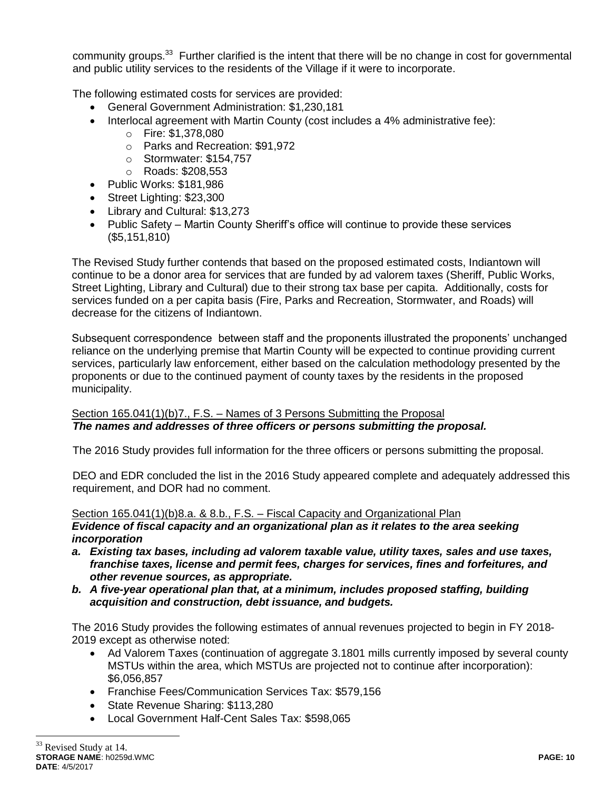community groups.<sup>33</sup> Further clarified is the intent that there will be no change in cost for governmental and public utility services to the residents of the Village if it were to incorporate.

The following estimated costs for services are provided:

- General Government Administration: \$1,230,181
- Interlocal agreement with Martin County (cost includes a 4% administrative fee):
	- o Fire: \$1,378,080
	- o Parks and Recreation: \$91,972
	- o Stormwater: \$154,757
	- o Roads: \$208,553
- Public Works: \$181,986
- Street Lighting: \$23,300
- Library and Cultural: \$13,273
- Public Safety Martin County Sheriff's office will continue to provide these services (\$5,151,810)

The Revised Study further contends that based on the proposed estimated costs, Indiantown will continue to be a donor area for services that are funded by ad valorem taxes (Sheriff, Public Works, Street Lighting, Library and Cultural) due to their strong tax base per capita. Additionally, costs for services funded on a per capita basis (Fire, Parks and Recreation, Stormwater, and Roads) will decrease for the citizens of Indiantown.

Subsequent correspondence between staff and the proponents illustrated the proponents' unchanged reliance on the underlying premise that Martin County will be expected to continue providing current services, particularly law enforcement, either based on the calculation methodology presented by the proponents or due to the continued payment of county taxes by the residents in the proposed municipality.

## Section 165.041(1)(b)7., F.S. – Names of 3 Persons Submitting the Proposal *The names and addresses of three officers or persons submitting the proposal.*

The 2016 Study provides full information for the three officers or persons submitting the proposal.

DEO and EDR concluded the list in the 2016 Study appeared complete and adequately addressed this requirement, and DOR had no comment.

Section 165.041(1)(b)8.a. & 8.b., F.S. – Fiscal Capacity and Organizational Plan

*Evidence of fiscal capacity and an organizational plan as it relates to the area seeking incorporation*

- *a. Existing tax bases, including ad valorem taxable value, utility taxes, sales and use taxes, franchise taxes, license and permit fees, charges for services, fines and forfeitures, and other revenue sources, as appropriate.*
- *b. A five-year operational plan that, at a minimum, includes proposed staffing, building acquisition and construction, debt issuance, and budgets.*

The 2016 Study provides the following estimates of annual revenues projected to begin in FY 2018- 2019 except as otherwise noted:

- Ad Valorem Taxes (continuation of aggregate 3.1801 mills currently imposed by several county MSTUs within the area, which MSTUs are projected not to continue after incorporation): \$6,056,857
- Franchise Fees/Communication Services Tax: \$579,156
- State Revenue Sharing: \$113,280
- Local Government Half-Cent Sales Tax: \$598,065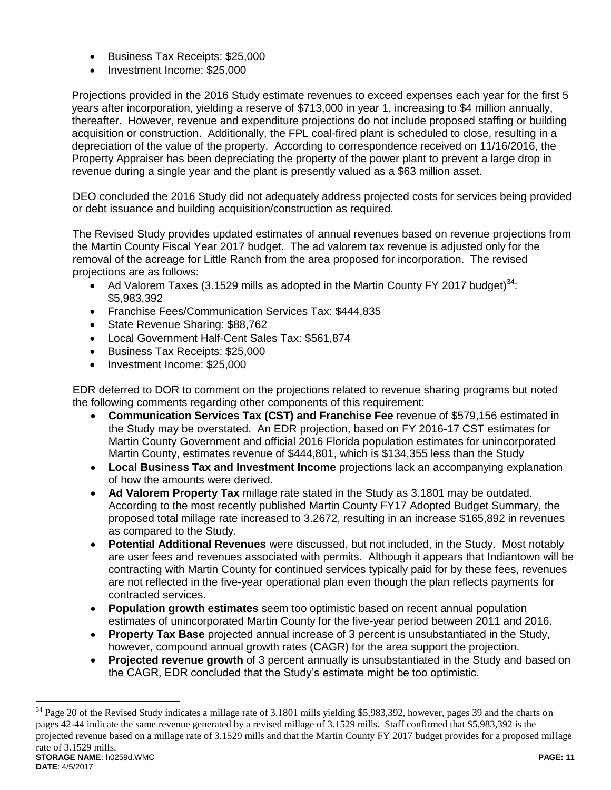- Business Tax Receipts: \$25,000
- Investment Income: \$25,000

Projections provided in the 2016 Study estimate revenues to exceed expenses each year for the first 5 years after incorporation, yielding a reserve of \$713,000 in year 1, increasing to \$4 million annually, thereafter. However, revenue and expenditure projections do not include proposed staffing or building acquisition or construction. Additionally, the FPL coal-fired plant is scheduled to close, resulting in a depreciation of the value of the property. According to correspondence received on 11/16/2016, the Property Appraiser has been depreciating the property of the power plant to prevent a large drop in revenue during a single year and the plant is presently valued as a \$63 million asset.

DEO concluded the 2016 Study did not adequately address projected costs for services being provided or debt issuance and building acquisition/construction as required.

The Revised Study provides updated estimates of annual revenues based on revenue projections from the Martin County Fiscal Year 2017 budget. The ad valorem tax revenue is adjusted only for the removal of the acreage for Little Ranch from the area proposed for incorporation. The revised projections are as follows:

- Ad Valorem Taxes (3.1529 mills as adopted in the Martin County FY 2017 budget)<sup>34</sup>: \$5,983,392
- Franchise Fees/Communication Services Tax: \$444,835
- State Revenue Sharing: \$88,762
- Local Government Half-Cent Sales Tax: \$561,874
- Business Tax Receipts: \$25,000
- Investment Income: \$25,000

 $\overline{a}$ 

EDR deferred to DOR to comment on the projections related to revenue sharing programs but noted the following comments regarding other components of this requirement:

- **Communication Services Tax (CST) and Franchise Fee** revenue of \$579,156 estimated in the Study may be overstated. An EDR projection, based on FY 2016-17 CST estimates for Martin County Government and official 2016 Florida population estimates for unincorporated Martin County, estimates revenue of \$444,801, which is \$134,355 less than the Study
- **Local Business Tax and Investment Income** projections lack an accompanying explanation of how the amounts were derived.
- **Ad Valorem Property Tax** millage rate stated in the Study as 3.1801 may be outdated. According to the most recently published Martin County FY17 Adopted Budget Summary, the proposed total millage rate increased to 3.2672, resulting in an increase \$165,892 in revenues as compared to the Study.
- **Potential Additional Revenues** were discussed, but not included, in the Study. Most notably are user fees and revenues associated with permits. Although it appears that Indiantown will be contracting with Martin County for continued services typically paid for by these fees, revenues are not reflected in the five-year operational plan even though the plan reflects payments for contracted services.
- **Population growth estimates** seem too optimistic based on recent annual population estimates of unincorporated Martin County for the five-year period between 2011 and 2016.
- **Property Tax Base** projected annual increase of 3 percent is unsubstantiated in the Study, however, compound annual growth rates (CAGR) for the area support the projection.
- **Projected revenue growth** of 3 percent annually is unsubstantiated in the Study and based on the CAGR, EDR concluded that the Study's estimate might be too optimistic.

**STORAGE NAME**: h0259d.WMC **PAGE: 11 DATE**: 4/5/2017  $34$  Page 20 of the Revised Study indicates a millage rate of 3.1801 mills yielding \$5,983,392, however, pages 39 and the charts on pages 42-44 indicate the same revenue generated by a revised millage of 3.1529 mills. Staff confirmed that \$5,983,392 is the projected revenue based on a millage rate of 3.1529 mills and that the Martin County FY 2017 budget provides for a proposed millage rate of 3.1529 mills.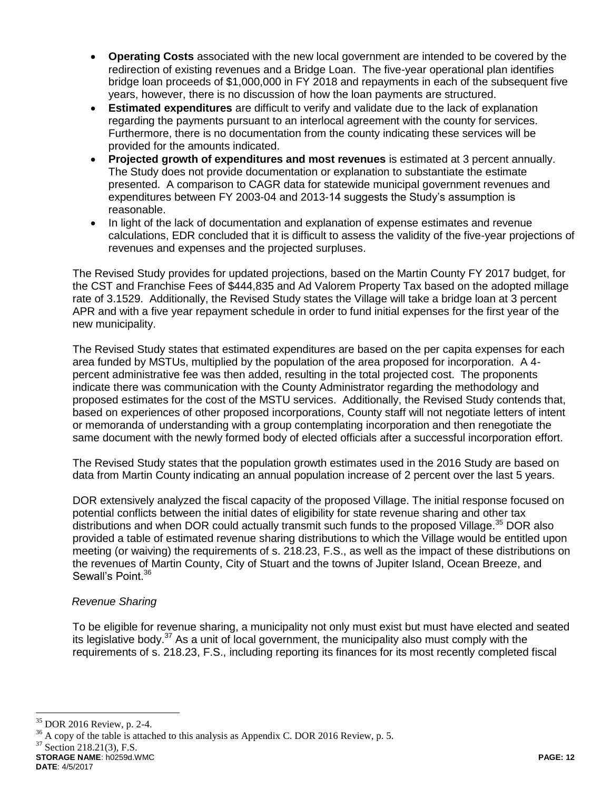- **Operating Costs** associated with the new local government are intended to be covered by the redirection of existing revenues and a Bridge Loan. The five-year operational plan identifies bridge loan proceeds of \$1,000,000 in FY 2018 and repayments in each of the subsequent five years, however, there is no discussion of how the loan payments are structured.
- **Estimated expenditures** are difficult to verify and validate due to the lack of explanation regarding the payments pursuant to an interlocal agreement with the county for services. Furthermore, there is no documentation from the county indicating these services will be provided for the amounts indicated.
- **Projected growth of expenditures and most revenues** is estimated at 3 percent annually. The Study does not provide documentation or explanation to substantiate the estimate presented. A comparison to CAGR data for statewide municipal government revenues and expenditures between FY 2003-04 and 2013-14 suggests the Study's assumption is reasonable.
- In light of the lack of documentation and explanation of expense estimates and revenue calculations, EDR concluded that it is difficult to assess the validity of the five-year projections of revenues and expenses and the projected surpluses.

The Revised Study provides for updated projections, based on the Martin County FY 2017 budget, for the CST and Franchise Fees of \$444,835 and Ad Valorem Property Tax based on the adopted millage rate of 3.1529. Additionally, the Revised Study states the Village will take a bridge loan at 3 percent APR and with a five year repayment schedule in order to fund initial expenses for the first year of the new municipality.

The Revised Study states that estimated expenditures are based on the per capita expenses for each area funded by MSTUs, multiplied by the population of the area proposed for incorporation. A 4 percent administrative fee was then added, resulting in the total projected cost. The proponents indicate there was communication with the County Administrator regarding the methodology and proposed estimates for the cost of the MSTU services. Additionally, the Revised Study contends that, based on experiences of other proposed incorporations, County staff will not negotiate letters of intent or memoranda of understanding with a group contemplating incorporation and then renegotiate the same document with the newly formed body of elected officials after a successful incorporation effort.

The Revised Study states that the population growth estimates used in the 2016 Study are based on data from Martin County indicating an annual population increase of 2 percent over the last 5 years.

DOR extensively analyzed the fiscal capacity of the proposed Village. The initial response focused on potential conflicts between the initial dates of eligibility for state revenue sharing and other tax distributions and when DOR could actually transmit such funds to the proposed Village.<sup>35</sup> DOR also provided a table of estimated revenue sharing distributions to which the Village would be entitled upon meeting (or waiving) the requirements of s. 218.23, F.S., as well as the impact of these distributions on the revenues of Martin County, City of Stuart and the towns of Jupiter Island, Ocean Breeze, and Sewall's Point.<sup>36</sup>

# *Revenue Sharing*

To be eligible for revenue sharing, a municipality not only must exist but must have elected and seated its legislative body.<sup>37</sup> As a unit of local government, the municipality also must comply with the requirements of s. 218.23, F.S., including reporting its finances for its most recently completed fiscal

 $\overline{a}$ 

<sup>36</sup> A copy of the table is attached to this analysis as Appendix C. DOR 2016 Review, p. 5.

 $37$  Section 218.21(3), F.S.

**STORAGE NAME**: h0259d.WMC **PAGE: 12 DATE**: 4/5/2017

<sup>35</sup> DOR 2016 Review, p. 2-4.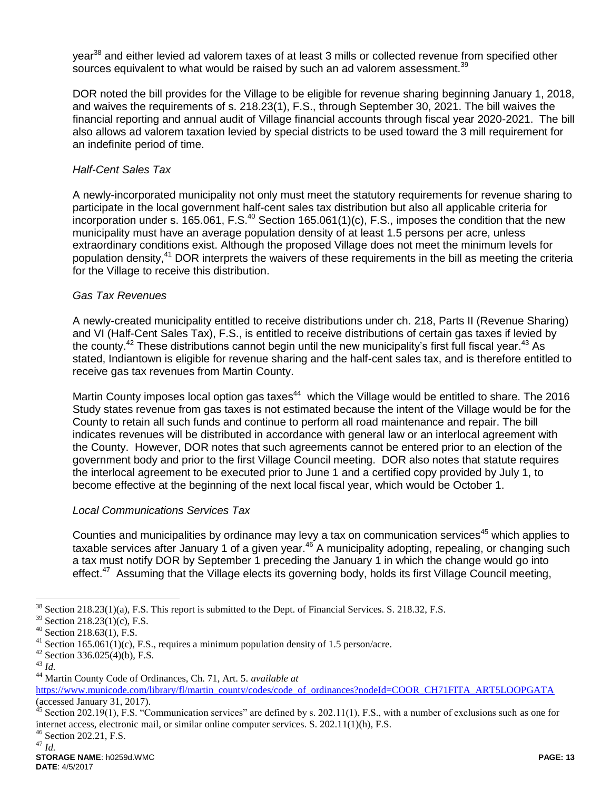year<sup>38</sup> and either levied ad valorem taxes of at least 3 mills or collected revenue from specified other sources equivalent to what would be raised by such an ad valorem assessment.<sup>39</sup>

DOR noted the bill provides for the Village to be eligible for revenue sharing beginning January 1, 2018, and waives the requirements of s. 218.23(1), F.S., through September 30, 2021. The bill waives the financial reporting and annual audit of Village financial accounts through fiscal year 2020-2021. The bill also allows ad valorem taxation levied by special districts to be used toward the 3 mill requirement for an indefinite period of time.

# *Half-Cent Sales Tax*

A newly-incorporated municipality not only must meet the statutory requirements for revenue sharing to participate in the local government half-cent sales tax distribution but also all applicable criteria for incorporation under s.  $165.061$ , F.S.<sup>40</sup> Section 165.061(1)(c), F.S., imposes the condition that the new municipality must have an average population density of at least 1.5 persons per acre, unless extraordinary conditions exist. Although the proposed Village does not meet the minimum levels for population density,<sup>41</sup> DOR interprets the waivers of these requirements in the bill as meeting the criteria for the Village to receive this distribution.

# *Gas Tax Revenues*

A newly-created municipality entitled to receive distributions under ch. 218, Parts II (Revenue Sharing) and VI (Half-Cent Sales Tax), F.S., is entitled to receive distributions of certain gas taxes if levied by the county.<sup>42</sup> These distributions cannot begin until the new municipality's first full fiscal year.<sup>43</sup> As stated, Indiantown is eligible for revenue sharing and the half-cent sales tax, and is therefore entitled to receive gas tax revenues from Martin County.

Martin County imposes local option gas taxes<sup>44</sup> which the Village would be entitled to share. The 2016 Study states revenue from gas taxes is not estimated because the intent of the Village would be for the County to retain all such funds and continue to perform all road maintenance and repair. The bill indicates revenues will be distributed in accordance with general law or an interlocal agreement with the County. However, DOR notes that such agreements cannot be entered prior to an election of the government body and prior to the first Village Council meeting. DOR also notes that statute requires the interlocal agreement to be executed prior to June 1 and a certified copy provided by July 1, to become effective at the beginning of the next local fiscal year, which would be October 1.

## *Local Communications Services Tax*

Counties and municipalities by ordinance may levy a tax on communication services<sup>45</sup> which applies to taxable services after January 1 of a given year.<sup>46</sup> A municipality adopting, repealing, or changing such a tax must notify DOR by September 1 preceding the January 1 in which the change would go into effect.<sup>47</sup> Assuming that the Village elects its governing body, holds its first Village Council meeting,

 $\overline{a}$ <sup>38</sup> Section 218.23(1)(a), F.S. This report is submitted to the Dept. of Financial Services. S. 218.32, F.S.

<sup>39</sup> Section 218.23(1)(c), F.S.

<sup>40</sup> Section 218.63(1), F.S.

<sup>&</sup>lt;sup>41</sup> Section 165.061(1)(c), F.S., requires a minimum population density of 1.5 person/acre.

 $42$  Section 336.025(4)(b), F.S.

<sup>43</sup> *Id.*

<sup>44</sup> Martin County Code of Ordinances, Ch. 71, Art. 5. *available at*

[https://www.municode.com/library/fl/martin\\_county/codes/code\\_of\\_ordinances?nodeId=COOR\\_CH71FITA\\_ART5LOOPGATA](https://www.municode.com/library/fl/martin_county/codes/code_of_ordinances?nodeId=COOR_CH71FITA_ART5LOOPGATA) (accessed January 31, 2017).

Section 202.19(1), F.S. "Communication services" are defined by s. 202.11(1), F.S., with a number of exclusions such as one for internet access, electronic mail, or similar online computer services. S. 202.11(1)(h), F.S.

<sup>46</sup> Section 202.21, F.S. <sup>47</sup> *Id.*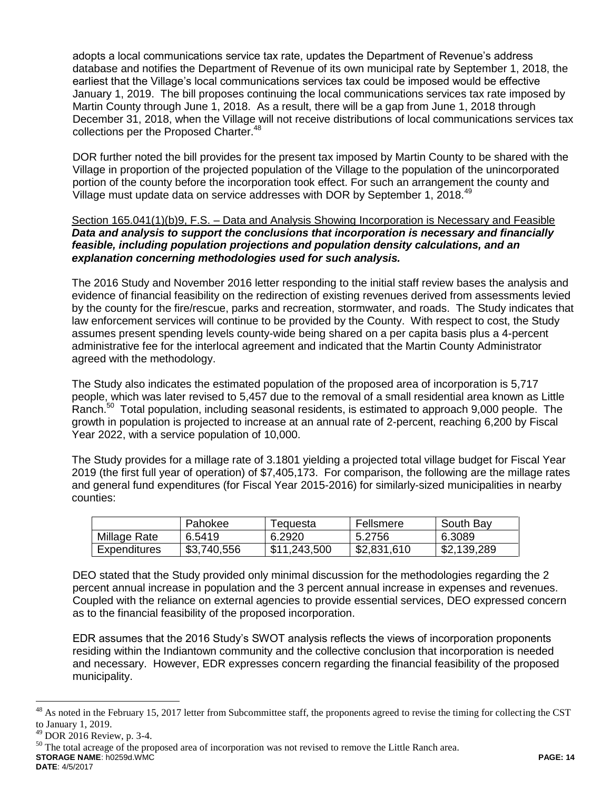adopts a local communications service tax rate, updates the Department of Revenue's address database and notifies the Department of Revenue of its own municipal rate by September 1, 2018, the earliest that the Village's local communications services tax could be imposed would be effective January 1, 2019. The bill proposes continuing the local communications services tax rate imposed by Martin County through June 1, 2018. As a result, there will be a gap from June 1, 2018 through December 31, 2018, when the Village will not receive distributions of local communications services tax collections per the Proposed Charter.<sup>48</sup>

DOR further noted the bill provides for the present tax imposed by Martin County to be shared with the Village in proportion of the projected population of the Village to the population of the unincorporated portion of the county before the incorporation took effect. For such an arrangement the county and Village must update data on service addresses with DOR by September 1, 2018.<sup>49</sup>

## Section 165.041(1)(b)9, F.S. – Data and Analysis Showing Incorporation is Necessary and Feasible *Data and analysis to support the conclusions that incorporation is necessary and financially feasible, including population projections and population density calculations, and an explanation concerning methodologies used for such analysis.*

The 2016 Study and November 2016 letter responding to the initial staff review bases the analysis and evidence of financial feasibility on the redirection of existing revenues derived from assessments levied by the county for the fire/rescue, parks and recreation, stormwater, and roads. The Study indicates that law enforcement services will continue to be provided by the County. With respect to cost, the Study assumes present spending levels county-wide being shared on a per capita basis plus a 4-percent administrative fee for the interlocal agreement and indicated that the Martin County Administrator agreed with the methodology.

The Study also indicates the estimated population of the proposed area of incorporation is 5,717 people, which was later revised to 5,457 due to the removal of a small residential area known as Little Ranch.<sup>50</sup> Total population, including seasonal residents, is estimated to approach 9,000 people. The growth in population is projected to increase at an annual rate of 2-percent, reaching 6,200 by Fiscal Year 2022, with a service population of 10,000.

The Study provides for a millage rate of 3.1801 yielding a projected total village budget for Fiscal Year 2019 (the first full year of operation) of \$7,405,173. For comparison, the following are the millage rates and general fund expenditures (for Fiscal Year 2015-2016) for similarly-sized municipalities in nearby counties:

|              | Pahokee     | l equesta    | Fellsmere   | South Bay   |
|--------------|-------------|--------------|-------------|-------------|
| Millage Rate | 6.5419      | 6.2920       | 5.2756      | 6.3089      |
| Expenditures | \$3,740,556 | \$11,243,500 | \$2,831,610 | \$2,139,289 |

DEO stated that the Study provided only minimal discussion for the methodologies regarding the 2 percent annual increase in population and the 3 percent annual increase in expenses and revenues. Coupled with the reliance on external agencies to provide essential services, DEO expressed concern as to the financial feasibility of the proposed incorporation.

EDR assumes that the 2016 Study's SWOT analysis reflects the views of incorporation proponents residing within the Indiantown community and the collective conclusion that incorporation is needed and necessary. However, EDR expresses concern regarding the financial feasibility of the proposed municipality.

**STORAGE NAME**: h0259d.WMC **PAGE: 14** <sup>50</sup> The total acreage of the proposed area of incorporation was not revised to remove the Little Ranch area.

**DATE**: 4/5/2017

 $^{48}$  As noted in the February 15, 2017 letter from Subcommittee staff, the proponents agreed to revise the timing for collecting the CST to January 1, 2019.

<sup>49</sup> DOR 2016 Review, p. 3-4.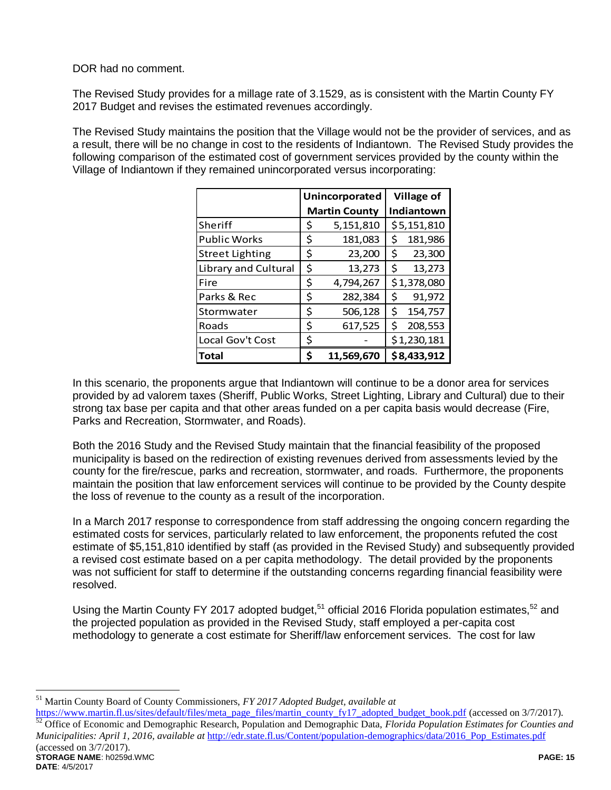DOR had no comment.

The Revised Study provides for a millage rate of 3.1529, as is consistent with the Martin County FY 2017 Budget and revises the estimated revenues accordingly.

The Revised Study maintains the position that the Village would not be the provider of services, and as a result, there will be no change in cost to the residents of Indiantown. The Revised Study provides the following comparison of the estimated cost of government services provided by the county within the Village of Indiantown if they remained unincorporated versus incorporating:

|                        |    | Unincorporated       | <b>Village of</b> |             |
|------------------------|----|----------------------|-------------------|-------------|
|                        |    | <b>Martin County</b> |                   | Indiantown  |
| Sheriff                | \$ | 5,151,810            |                   | \$5,151,810 |
| <b>Public Works</b>    | \$ | 181,083              | \$                | 181,986     |
| <b>Street Lighting</b> | \$ | 23,200               | \$                | 23,300      |
| Library and Cultural   | \$ | 13,273               | \$                | 13,273      |
| Fire                   | \$ | 4,794,267            |                   | \$1,378,080 |
| Parks & Rec            | \$ | 282,384              | \$                | 91,972      |
| Stormwater             | \$ | 506,128              | \$                | 154,757     |
| Roads                  | \$ | 617,525              | \$                | 208,553     |
| Local Gov't Cost       | \$ |                      |                   | \$1,230,181 |
| <b>Total</b>           | Ś  | 11,569,670           |                   | \$8,433,912 |

In this scenario, the proponents argue that Indiantown will continue to be a donor area for services provided by ad valorem taxes (Sheriff, Public Works, Street Lighting, Library and Cultural) due to their strong tax base per capita and that other areas funded on a per capita basis would decrease (Fire, Parks and Recreation, Stormwater, and Roads).

Both the 2016 Study and the Revised Study maintain that the financial feasibility of the proposed municipality is based on the redirection of existing revenues derived from assessments levied by the county for the fire/rescue, parks and recreation, stormwater, and roads. Furthermore, the proponents maintain the position that law enforcement services will continue to be provided by the County despite the loss of revenue to the county as a result of the incorporation.

In a March 2017 response to correspondence from staff addressing the ongoing concern regarding the estimated costs for services, particularly related to law enforcement, the proponents refuted the cost estimate of \$5,151,810 identified by staff (as provided in the Revised Study) and subsequently provided a revised cost estimate based on a per capita methodology. The detail provided by the proponents was not sufficient for staff to determine if the outstanding concerns regarding financial feasibility were resolved.

Using the Martin County FY 2017 adopted budget,<sup>51</sup> official 2016 Florida population estimates,<sup>52</sup> and the projected population as provided in the Revised Study, staff employed a per-capita cost methodology to generate a cost estimate for Sheriff/law enforcement services. The cost for law

**STORAGE NAME**: h0259d.WMC **PAGE: 15 DATE**: 4/5/2017 [https://www.martin.fl.us/sites/default/files/meta\\_page\\_files/martin\\_county\\_fy17\\_adopted\\_budget\\_book.pdf](https://www.martin.fl.us/sites/default/files/meta_page_files/martin_county_fy17_adopted_budget_book.pdf) (accessed on 3/7/2017). <sup>52</sup> Office of Economic and Demographic Research, Population and Demographic Data, *Florida Population Estimates for Counties and Municipalities: April 1, 2016, available at [http://edr.state.fl.us/Content/population-demographics/data/2016\\_Pop\\_Estimates.pdf](http://edr.state.fl.us/Content/population-demographics/data/2016_Pop_Estimates.pdf)* (accessed on 3/7/2017).

 $\overline{a}$ <sup>51</sup> Martin County Board of County Commissioners, *FY 2017 Adopted Budget, available at*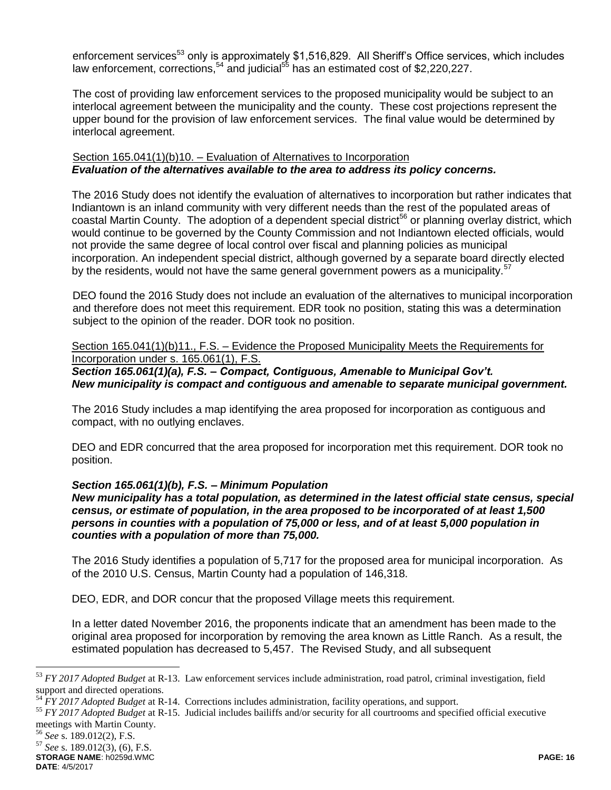enforcement services<sup>53</sup> only is approximately \$1,516,829. All Sheriff's Office services, which includes law enforcement, corrections,<sup>54</sup> and judicial<sup>55</sup> has an estimated cost of \$2,220,227.

The cost of providing law enforcement services to the proposed municipality would be subject to an interlocal agreement between the municipality and the county. These cost projections represent the upper bound for the provision of law enforcement services. The final value would be determined by interlocal agreement.

## Section 165.041(1)(b)10. – Evaluation of Alternatives to Incorporation *Evaluation of the alternatives available to the area to address its policy concerns.*

The 2016 Study does not identify the evaluation of alternatives to incorporation but rather indicates that Indiantown is an inland community with very different needs than the rest of the populated areas of coastal Martin County. The adoption of a dependent special district<sup>56</sup> or planning overlay district, which would continue to be governed by the County Commission and not Indiantown elected officials, would not provide the same degree of local control over fiscal and planning policies as municipal incorporation. An independent special district, although governed by a separate board directly elected by the residents, would not have the same general government powers as a municipality.<sup>57</sup>

DEO found the 2016 Study does not include an evaluation of the alternatives to municipal incorporation and therefore does not meet this requirement. EDR took no position, stating this was a determination subject to the opinion of the reader. DOR took no position.

Section 165.041(1)(b)11., F.S. - Evidence the Proposed Municipality Meets the Requirements for Incorporation under s. 165.061(1), F.S.

# *Section 165.061(1)(a), F.S. – Compact, Contiguous, Amenable to Municipal Gov't. New municipality is compact and contiguous and amenable to separate municipal government.*

The 2016 Study includes a map identifying the area proposed for incorporation as contiguous and compact, with no outlying enclaves.

DEO and EDR concurred that the area proposed for incorporation met this requirement. DOR took no position.

## *Section 165.061(1)(b), F.S. – Minimum Population*

*New municipality has a total population, as determined in the latest official state census, special census, or estimate of population, in the area proposed to be incorporated of at least 1,500 persons in counties with a population of 75,000 or less, and of at least 5,000 population in counties with a population of more than 75,000.*

The 2016 Study identifies a population of 5,717 for the proposed area for municipal incorporation. As of the 2010 U.S. Census, Martin County had a population of 146,318.

DEO, EDR, and DOR concur that the proposed Village meets this requirement.

In a letter dated November 2016, the proponents indicate that an amendment has been made to the original area proposed for incorporation by removing the area known as Little Ranch. As a result, the estimated population has decreased to 5,457. The Revised Study, and all subsequent

<sup>56</sup> *See* s. 189.012(2), F.S.

<sup>53</sup> *FY 2017 Adopted Budget* at R-13. Law enforcement services include administration, road patrol, criminal investigation, field support and directed operations.

<sup>54</sup> *FY 2017 Adopted Budget* at R-14. Corrections includes administration, facility operations, and support.

<sup>55</sup> *FY 2017 Adopted Budget* at R-15. Judicial includes bailiffs and/or security for all courtrooms and specified official executive meetings with Martin County.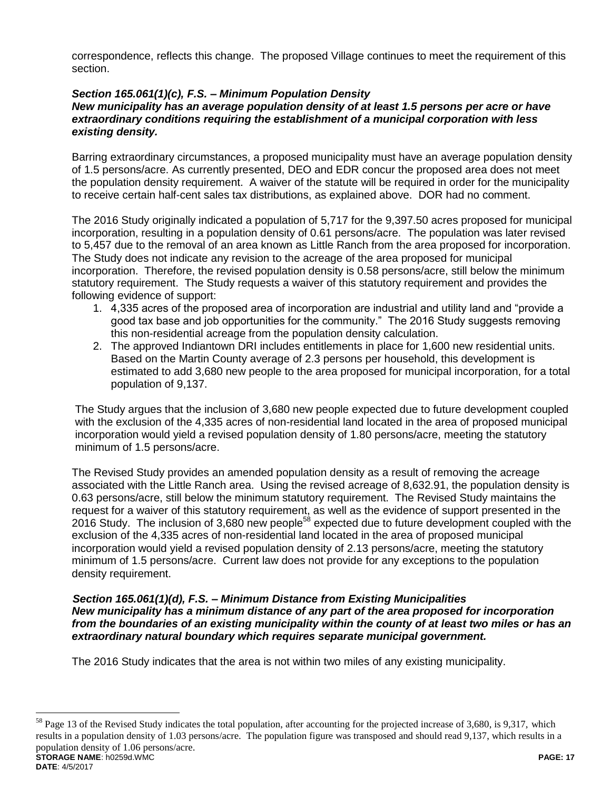correspondence, reflects this change. The proposed Village continues to meet the requirement of this section.

## *Section 165.061(1)(c), F.S. – Minimum Population Density*

### *New municipality has an average population density of at least 1.5 persons per acre or have extraordinary conditions requiring the establishment of a municipal corporation with less existing density.*

Barring extraordinary circumstances, a proposed municipality must have an average population density of 1.5 persons/acre. As currently presented, DEO and EDR concur the proposed area does not meet the population density requirement. A waiver of the statute will be required in order for the municipality to receive certain half-cent sales tax distributions, as explained above. DOR had no comment.

The 2016 Study originally indicated a population of 5,717 for the 9,397.50 acres proposed for municipal incorporation, resulting in a population density of 0.61 persons/acre. The population was later revised to 5,457 due to the removal of an area known as Little Ranch from the area proposed for incorporation. The Study does not indicate any revision to the acreage of the area proposed for municipal incorporation. Therefore, the revised population density is 0.58 persons/acre, still below the minimum statutory requirement. The Study requests a waiver of this statutory requirement and provides the following evidence of support:

- 1. 4,335 acres of the proposed area of incorporation are industrial and utility land and "provide a good tax base and job opportunities for the community." The 2016 Study suggests removing this non-residential acreage from the population density calculation.
- 2. The approved Indiantown DRI includes entitlements in place for 1,600 new residential units. Based on the Martin County average of 2.3 persons per household, this development is estimated to add 3,680 new people to the area proposed for municipal incorporation, for a total population of 9,137.

The Study argues that the inclusion of 3,680 new people expected due to future development coupled with the exclusion of the 4,335 acres of non-residential land located in the area of proposed municipal incorporation would yield a revised population density of 1.80 persons/acre, meeting the statutory minimum of 1.5 persons/acre.

The Revised Study provides an amended population density as a result of removing the acreage associated with the Little Ranch area. Using the revised acreage of 8,632.91, the population density is 0.63 persons/acre, still below the minimum statutory requirement. The Revised Study maintains the request for a waiver of this statutory requirement, as well as the evidence of support presented in the 2016 Study. The inclusion of 3,680 new people<sup>58</sup> expected due to future development coupled with the exclusion of the 4,335 acres of non-residential land located in the area of proposed municipal incorporation would yield a revised population density of 2.13 persons/acre, meeting the statutory minimum of 1.5 persons/acre. Current law does not provide for any exceptions to the population density requirement.

### *Section 165.061(1)(d), F.S. – Minimum Distance from Existing Municipalities New municipality has a minimum distance of any part of the area proposed for incorporation from the boundaries of an existing municipality within the county of at least two miles or has an extraordinary natural boundary which requires separate municipal government.*

The 2016 Study indicates that the area is not within two miles of any existing municipality.

**STORAGE NAME**: h0259d.WMC **PAGE: 17 DATE**: 4/5/2017 <sup>58</sup> Page 13 of the Revised Study indicates the total population, after accounting for the projected increase of 3,680, is 9,317, which results in a population density of 1.03 persons/acre. The population figure was transposed and should read 9,137, which results in a population density of 1.06 persons/acre.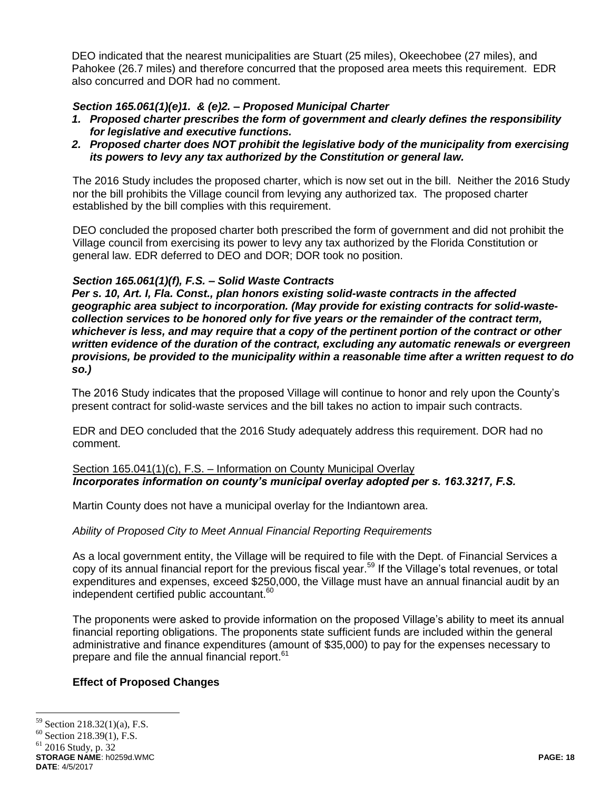DEO indicated that the nearest municipalities are Stuart (25 miles), Okeechobee (27 miles), and Pahokee (26.7 miles) and therefore concurred that the proposed area meets this requirement. EDR also concurred and DOR had no comment.

# *Section 165.061(1)(e)1. & (e)2. – Proposed Municipal Charter*

- *1. Proposed charter prescribes the form of government and clearly defines the responsibility for legislative and executive functions.*
- *2. Proposed charter does NOT prohibit the legislative body of the municipality from exercising its powers to levy any tax authorized by the Constitution or general law.*

The 2016 Study includes the proposed charter, which is now set out in the bill. Neither the 2016 Study nor the bill prohibits the Village council from levying any authorized tax. The proposed charter established by the bill complies with this requirement.

DEO concluded the proposed charter both prescribed the form of government and did not prohibit the Village council from exercising its power to levy any tax authorized by the Florida Constitution or general law. EDR deferred to DEO and DOR; DOR took no position.

## *Section 165.061(1)(f), F.S. – Solid Waste Contracts*

*Per s. 10, Art. I, Fla. Const., plan honors existing solid-waste contracts in the affected geographic area subject to incorporation. (May provide for existing contracts for solid-wastecollection services to be honored only for five years or the remainder of the contract term, whichever is less, and may require that a copy of the pertinent portion of the contract or other written evidence of the duration of the contract, excluding any automatic renewals or evergreen provisions, be provided to the municipality within a reasonable time after a written request to do so.)*

The 2016 Study indicates that the proposed Village will continue to honor and rely upon the County's present contract for solid-waste services and the bill takes no action to impair such contracts.

EDR and DEO concluded that the 2016 Study adequately address this requirement. DOR had no comment.

## Section 165.041(1)(c), F.S. - Information on County Municipal Overlay *Incorporates information on county's municipal overlay adopted per s. 163.3217, F.S.*

Martin County does not have a municipal overlay for the Indiantown area.

### *Ability of Proposed City to Meet Annual Financial Reporting Requirements*

As a local government entity, the Village will be required to file with the Dept. of Financial Services a copy of its annual financial report for the previous fiscal year.<sup>59</sup> If the Village's total revenues, or total expenditures and expenses, exceed \$250,000, the Village must have an annual financial audit by an independent certified public accountant.<sup>60</sup>

The proponents were asked to provide information on the proposed Village's ability to meet its annual financial reporting obligations. The proponents state sufficient funds are included within the general administrative and finance expenditures (amount of \$35,000) to pay for the expenses necessary to prepare and file the annual financial report.<sup>61</sup>

### **Effect of Proposed Changes**

<sup>59</sup> Section 218.32(1)(a), F.S.

<sup>60</sup> Section 218.39(1), F.S.

 $61$  2016 Study, p. 32

**STORAGE NAME**: h0259d.WMC **PAGE: 18 DATE**: 4/5/2017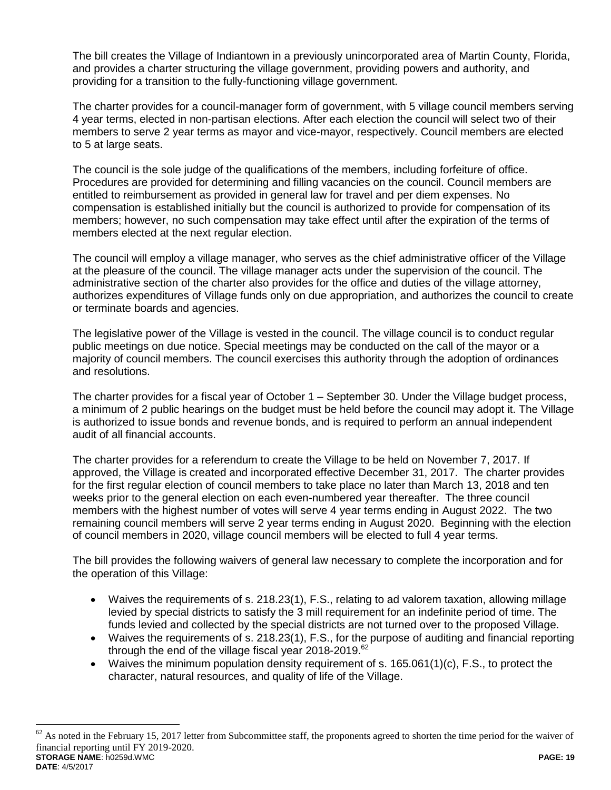The bill creates the Village of Indiantown in a previously unincorporated area of Martin County, Florida, and provides a charter structuring the village government, providing powers and authority, and providing for a transition to the fully-functioning village government.

The charter provides for a council-manager form of government, with 5 village council members serving 4 year terms, elected in non-partisan elections. After each election the council will select two of their members to serve 2 year terms as mayor and vice-mayor, respectively. Council members are elected to 5 at large seats.

The council is the sole judge of the qualifications of the members, including forfeiture of office. Procedures are provided for determining and filling vacancies on the council. Council members are entitled to reimbursement as provided in general law for travel and per diem expenses. No compensation is established initially but the council is authorized to provide for compensation of its members; however, no such compensation may take effect until after the expiration of the terms of members elected at the next regular election.

The council will employ a village manager, who serves as the chief administrative officer of the Village at the pleasure of the council. The village manager acts under the supervision of the council. The administrative section of the charter also provides for the office and duties of the village attorney, authorizes expenditures of Village funds only on due appropriation, and authorizes the council to create or terminate boards and agencies.

The legislative power of the Village is vested in the council. The village council is to conduct regular public meetings on due notice. Special meetings may be conducted on the call of the mayor or a majority of council members. The council exercises this authority through the adoption of ordinances and resolutions.

The charter provides for a fiscal year of October 1 – September 30. Under the Village budget process, a minimum of 2 public hearings on the budget must be held before the council may adopt it. The Village is authorized to issue bonds and revenue bonds, and is required to perform an annual independent audit of all financial accounts.

The charter provides for a referendum to create the Village to be held on November 7, 2017. If approved, the Village is created and incorporated effective December 31, 2017. The charter provides for the first regular election of council members to take place no later than March 13, 2018 and ten weeks prior to the general election on each even-numbered year thereafter. The three council members with the highest number of votes will serve 4 year terms ending in August 2022. The two remaining council members will serve 2 year terms ending in August 2020. Beginning with the election of council members in 2020, village council members will be elected to full 4 year terms.

The bill provides the following waivers of general law necessary to complete the incorporation and for the operation of this Village:

- Waives the requirements of s. 218.23(1), F.S., relating to ad valorem taxation, allowing millage levied by special districts to satisfy the 3 mill requirement for an indefinite period of time. The funds levied and collected by the special districts are not turned over to the proposed Village.
- Waives the requirements of s. 218.23(1), F.S., for the purpose of auditing and financial reporting through the end of the village fiscal year 2018-2019.<sup>62</sup>
- Waives the minimum population density requirement of s. 165.061(1)(c), F.S., to protect the character, natural resources, and quality of life of the Village.

**STORAGE NAME**: h0259d.WMC **PAGE: 19 DATE**: 4/5/2017  $62$  As noted in the February 15, 2017 letter from Subcommittee staff, the proponents agreed to shorten the time period for the waiver of financial reporting until FY 2019-2020.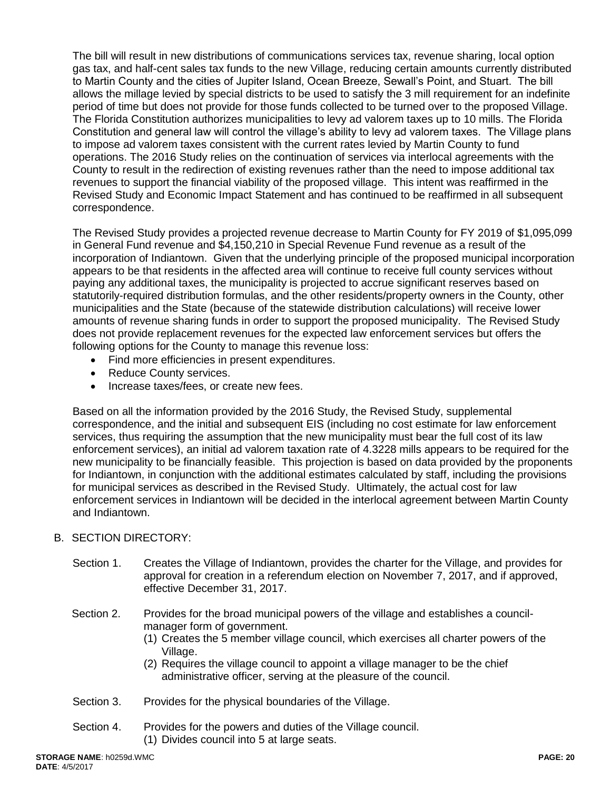The bill will result in new distributions of communications services tax, revenue sharing, local option gas tax, and half-cent sales tax funds to the new Village, reducing certain amounts currently distributed to Martin County and the cities of Jupiter Island, Ocean Breeze, Sewall's Point, and Stuart. The bill allows the millage levied by special districts to be used to satisfy the 3 mill requirement for an indefinite period of time but does not provide for those funds collected to be turned over to the proposed Village. The Florida Constitution authorizes municipalities to levy ad valorem taxes up to 10 mills. The Florida Constitution and general law will control the village's ability to levy ad valorem taxes. The Village plans to impose ad valorem taxes consistent with the current rates levied by Martin County to fund operations. The 2016 Study relies on the continuation of services via interlocal agreements with the County to result in the redirection of existing revenues rather than the need to impose additional tax revenues to support the financial viability of the proposed village. This intent was reaffirmed in the Revised Study and Economic Impact Statement and has continued to be reaffirmed in all subsequent correspondence.

The Revised Study provides a projected revenue decrease to Martin County for FY 2019 of \$1,095,099 in General Fund revenue and \$4,150,210 in Special Revenue Fund revenue as a result of the incorporation of Indiantown. Given that the underlying principle of the proposed municipal incorporation appears to be that residents in the affected area will continue to receive full county services without paying any additional taxes, the municipality is projected to accrue significant reserves based on statutorily-required distribution formulas, and the other residents/property owners in the County, other municipalities and the State (because of the statewide distribution calculations) will receive lower amounts of revenue sharing funds in order to support the proposed municipality. The Revised Study does not provide replacement revenues for the expected law enforcement services but offers the following options for the County to manage this revenue loss:

- Find more efficiencies in present expenditures.
- Reduce County services.
- Increase taxes/fees, or create new fees.

Based on all the information provided by the 2016 Study, the Revised Study, supplemental correspondence, and the initial and subsequent EIS (including no cost estimate for law enforcement services, thus requiring the assumption that the new municipality must bear the full cost of its law enforcement services), an initial ad valorem taxation rate of 4.3228 mills appears to be required for the new municipality to be financially feasible. This projection is based on data provided by the proponents for Indiantown, in conjunction with the additional estimates calculated by staff, including the provisions for municipal services as described in the Revised Study. Ultimately, the actual cost for law enforcement services in Indiantown will be decided in the interlocal agreement between Martin County and Indiantown.

## B. SECTION DIRECTORY:

- Section 1. Creates the Village of Indiantown, provides the charter for the Village, and provides for approval for creation in a referendum election on November 7, 2017, and if approved, effective December 31, 2017.
- Section 2. Provides for the broad municipal powers of the village and establishes a councilmanager form of government.
	- (1) Creates the 5 member village council, which exercises all charter powers of the Village.
	- (2) Requires the village council to appoint a village manager to be the chief administrative officer, serving at the pleasure of the council.
- Section 3. Provides for the physical boundaries of the Village.
- Section 4. Provides for the powers and duties of the Village council. (1) Divides council into 5 at large seats.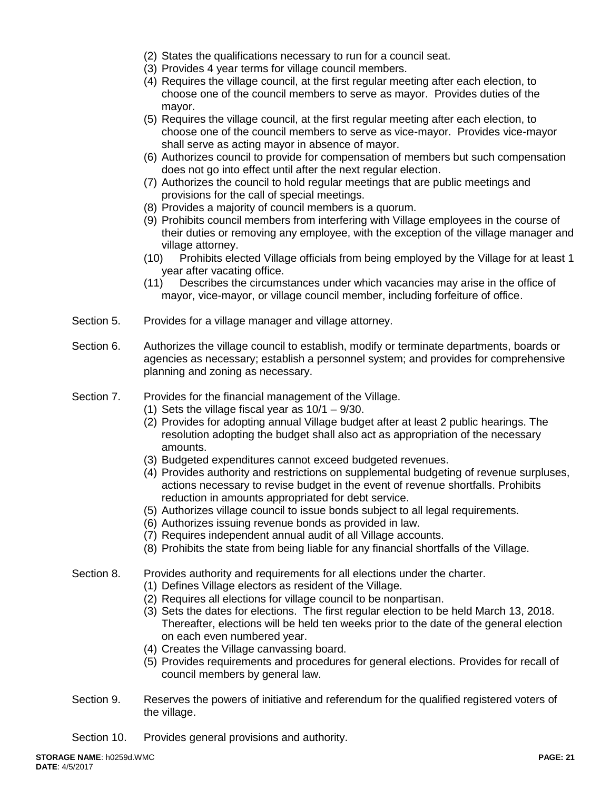- (2) States the qualifications necessary to run for a council seat.
- (3) Provides 4 year terms for village council members.
- (4) Requires the village council, at the first regular meeting after each election, to choose one of the council members to serve as mayor. Provides duties of the mayor.
- (5) Requires the village council, at the first regular meeting after each election, to choose one of the council members to serve as vice-mayor. Provides vice-mayor shall serve as acting mayor in absence of mayor.
- (6) Authorizes council to provide for compensation of members but such compensation does not go into effect until after the next regular election.
- (7) Authorizes the council to hold regular meetings that are public meetings and provisions for the call of special meetings.
- (8) Provides a majority of council members is a quorum.
- (9) Prohibits council members from interfering with Village employees in the course of their duties or removing any employee, with the exception of the village manager and village attorney.
- (10) Prohibits elected Village officials from being employed by the Village for at least 1 year after vacating office.
- (11) Describes the circumstances under which vacancies may arise in the office of mayor, vice-mayor, or village council member, including forfeiture of office.
- Section 5. Provides for a village manager and village attorney.
- Section 6. Authorizes the village council to establish, modify or terminate departments, boards or agencies as necessary; establish a personnel system; and provides for comprehensive planning and zoning as necessary.

### Section 7. Provides for the financial management of the Village.

- (1) Sets the village fiscal year as  $10/1 9/30$ .
- (2) Provides for adopting annual Village budget after at least 2 public hearings. The resolution adopting the budget shall also act as appropriation of the necessary amounts.
- (3) Budgeted expenditures cannot exceed budgeted revenues.
- (4) Provides authority and restrictions on supplemental budgeting of revenue surpluses, actions necessary to revise budget in the event of revenue shortfalls. Prohibits reduction in amounts appropriated for debt service.
- (5) Authorizes village council to issue bonds subject to all legal requirements.
- (6) Authorizes issuing revenue bonds as provided in law.
- (7) Requires independent annual audit of all Village accounts.
- (8) Prohibits the state from being liable for any financial shortfalls of the Village.
- Section 8. Provides authority and requirements for all elections under the charter.
	- (1) Defines Village electors as resident of the Village.
	- (2) Requires all elections for village council to be nonpartisan.
	- (3) Sets the dates for elections. The first regular election to be held March 13, 2018. Thereafter, elections will be held ten weeks prior to the date of the general election on each even numbered year.
	- (4) Creates the Village canvassing board.
	- (5) Provides requirements and procedures for general elections. Provides for recall of council members by general law.
- Section 9. Reserves the powers of initiative and referendum for the qualified registered voters of the village.
- Section 10. Provides general provisions and authority.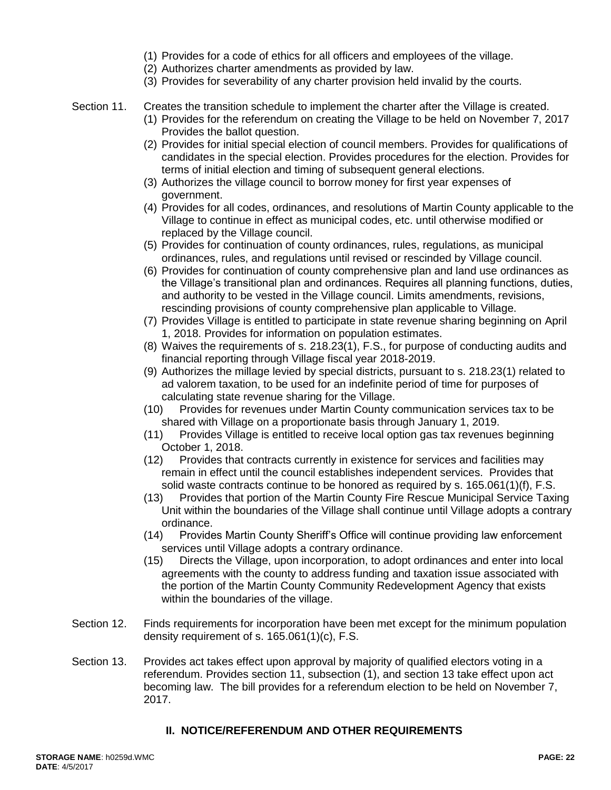- (1) Provides for a code of ethics for all officers and employees of the village.
- (2) Authorizes charter amendments as provided by law.
- (3) Provides for severability of any charter provision held invalid by the courts.
- Section 11. Creates the transition schedule to implement the charter after the Village is created.
	- (1) Provides for the referendum on creating the Village to be held on November 7, 2017 Provides the ballot question.
	- (2) Provides for initial special election of council members. Provides for qualifications of candidates in the special election. Provides procedures for the election. Provides for terms of initial election and timing of subsequent general elections.
	- (3) Authorizes the village council to borrow money for first year expenses of government.
	- (4) Provides for all codes, ordinances, and resolutions of Martin County applicable to the Village to continue in effect as municipal codes, etc. until otherwise modified or replaced by the Village council.
	- (5) Provides for continuation of county ordinances, rules, regulations, as municipal ordinances, rules, and regulations until revised or rescinded by Village council.
	- (6) Provides for continuation of county comprehensive plan and land use ordinances as the Village's transitional plan and ordinances. Requires all planning functions, duties, and authority to be vested in the Village council. Limits amendments, revisions, rescinding provisions of county comprehensive plan applicable to Village.
	- (7) Provides Village is entitled to participate in state revenue sharing beginning on April 1, 2018. Provides for information on population estimates.
	- (8) Waives the requirements of s. 218.23(1), F.S., for purpose of conducting audits and financial reporting through Village fiscal year 2018-2019.
	- (9) Authorizes the millage levied by special districts, pursuant to s. 218.23(1) related to ad valorem taxation, to be used for an indefinite period of time for purposes of calculating state revenue sharing for the Village.
	- (10) Provides for revenues under Martin County communication services tax to be shared with Village on a proportionate basis through January 1, 2019.
	- (11) Provides Village is entitled to receive local option gas tax revenues beginning October 1, 2018.
	- (12) Provides that contracts currently in existence for services and facilities may remain in effect until the council establishes independent services. Provides that solid waste contracts continue to be honored as required by s. 165.061(1)(f), F.S.
	- (13) Provides that portion of the Martin County Fire Rescue Municipal Service Taxing Unit within the boundaries of the Village shall continue until Village adopts a contrary ordinance.
	- (14) Provides Martin County Sheriff's Office will continue providing law enforcement services until Village adopts a contrary ordinance.
	- (15) Directs the Village, upon incorporation, to adopt ordinances and enter into local agreements with the county to address funding and taxation issue associated with the portion of the Martin County Community Redevelopment Agency that exists within the boundaries of the village.
- Section 12. Finds requirements for incorporation have been met except for the minimum population density requirement of s. 165.061(1)(c), F.S.
- Section 13. Provides act takes effect upon approval by majority of qualified electors voting in a referendum. Provides section 11, subsection (1), and section 13 take effect upon act becoming law. The bill provides for a referendum election to be held on November 7, 2017.

## **II. NOTICE/REFERENDUM AND OTHER REQUIREMENTS**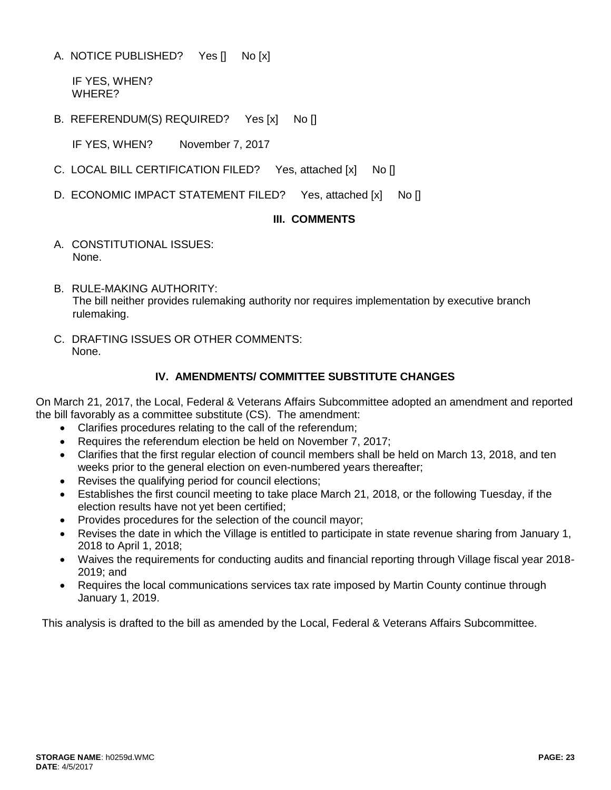A. NOTICE PUBLISHED? Yes [] No [x]

 IF YES, WHEN? WHERE?

B. REFERENDUM(S) REQUIRED? Yes [x] No []

IF YES, WHEN? November 7, 2017

- C. LOCAL BILL CERTIFICATION FILED? Yes, attached [x] No []
- D. ECONOMIC IMPACT STATEMENT FILED? Yes, attached [x] No []

## **III. COMMENTS**

- A. CONSTITUTIONAL ISSUES: None.
- B. RULE-MAKING AUTHORITY: The bill neither provides rulemaking authority nor requires implementation by executive branch rulemaking.
- C. DRAFTING ISSUES OR OTHER COMMENTS: None.

## **IV. AMENDMENTS/ COMMITTEE SUBSTITUTE CHANGES**

On March 21, 2017, the Local, Federal & Veterans Affairs Subcommittee adopted an amendment and reported the bill favorably as a committee substitute (CS). The amendment:

- Clarifies procedures relating to the call of the referendum;
- Requires the referendum election be held on November 7, 2017;
- Clarifies that the first regular election of council members shall be held on March 13, 2018, and ten weeks prior to the general election on even-numbered years thereafter;
- Revises the qualifying period for council elections;
- Establishes the first council meeting to take place March 21, 2018, or the following Tuesday, if the election results have not yet been certified;
- Provides procedures for the selection of the council mayor;
- Revises the date in which the Village is entitled to participate in state revenue sharing from January 1, 2018 to April 1, 2018;
- Waives the requirements for conducting audits and financial reporting through Village fiscal year 2018- 2019; and
- Requires the local communications services tax rate imposed by Martin County continue through January 1, 2019.

This analysis is drafted to the bill as amended by the Local, Federal & Veterans Affairs Subcommittee.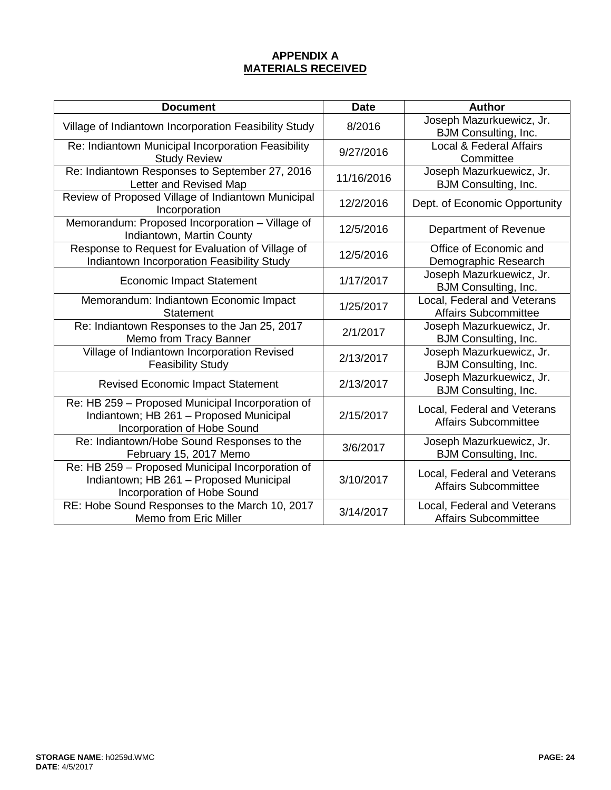# **APPENDIX A MATERIALS RECEIVED**

| <b>Document</b>                                                                                                            | <b>Date</b> | <b>Author</b>                                              |
|----------------------------------------------------------------------------------------------------------------------------|-------------|------------------------------------------------------------|
| Village of Indiantown Incorporation Feasibility Study                                                                      | 8/2016      | Joseph Mazurkuewicz, Jr.<br><b>BJM Consulting, Inc.</b>    |
| Re: Indiantown Municipal Incorporation Feasibility<br><b>Study Review</b>                                                  | 9/27/2016   | Local & Federal Affairs<br>Committee                       |
| Re: Indiantown Responses to September 27, 2016<br>Letter and Revised Map                                                   | 11/16/2016  | Joseph Mazurkuewicz, Jr.<br>BJM Consulting, Inc.           |
| Review of Proposed Village of Indiantown Municipal<br>Incorporation                                                        | 12/2/2016   | Dept. of Economic Opportunity                              |
| Memorandum: Proposed Incorporation - Village of<br>Indiantown, Martin County                                               | 12/5/2016   | Department of Revenue                                      |
| Response to Request for Evaluation of Village of<br>Indiantown Incorporation Feasibility Study                             | 12/5/2016   | Office of Economic and<br>Demographic Research             |
| <b>Economic Impact Statement</b>                                                                                           | 1/17/2017   | Joseph Mazurkuewicz, Jr.<br>BJM Consulting, Inc.           |
| Memorandum: Indiantown Economic Impact<br><b>Statement</b>                                                                 | 1/25/2017   | Local, Federal and Veterans<br><b>Affairs Subcommittee</b> |
| Re: Indiantown Responses to the Jan 25, 2017<br>Memo from Tracy Banner                                                     | 2/1/2017    | Joseph Mazurkuewicz, Jr.<br><b>BJM Consulting, Inc.</b>    |
| Village of Indiantown Incorporation Revised<br><b>Feasibility Study</b>                                                    | 2/13/2017   | Joseph Mazurkuewicz, Jr.<br><b>BJM Consulting, Inc.</b>    |
| <b>Revised Economic Impact Statement</b>                                                                                   | 2/13/2017   | Joseph Mazurkuewicz, Jr.<br><b>BJM Consulting, Inc.</b>    |
| Re: HB 259 - Proposed Municipal Incorporation of<br>Indiantown; HB 261 - Proposed Municipal<br>Incorporation of Hobe Sound | 2/15/2017   | Local, Federal and Veterans<br><b>Affairs Subcommittee</b> |
| Re: Indiantown/Hobe Sound Responses to the<br>February 15, 2017 Memo                                                       | 3/6/2017    | Joseph Mazurkuewicz, Jr.<br><b>BJM Consulting, Inc.</b>    |
| Re: HB 259 - Proposed Municipal Incorporation of<br>Indiantown; HB 261 - Proposed Municipal<br>Incorporation of Hobe Sound | 3/10/2017   | Local, Federal and Veterans<br><b>Affairs Subcommittee</b> |
| RE: Hobe Sound Responses to the March 10, 2017<br><b>Memo from Eric Miller</b>                                             | 3/14/2017   | Local, Federal and Veterans<br><b>Affairs Subcommittee</b> |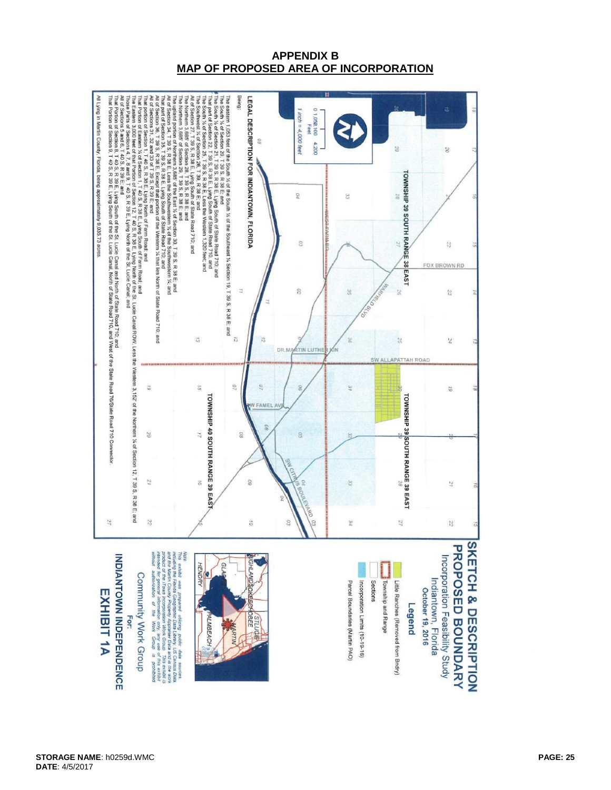## **APPENDIX B MAP OF PROPOSED AREA OF INCORPORATION**